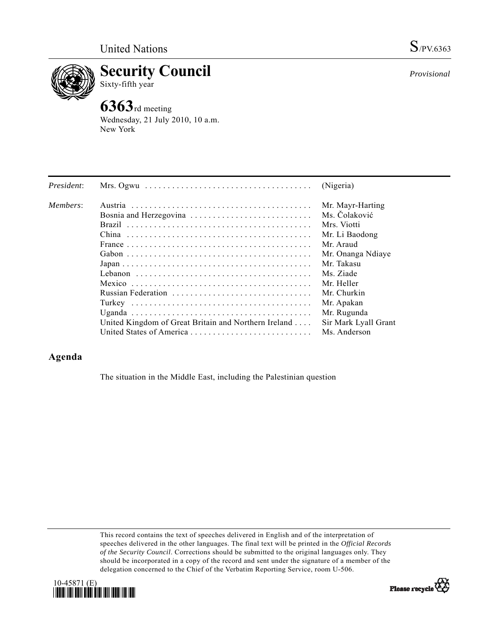

**Security Council**  Sixty-fifth year

## **6363**rd meeting

Wednesday, 21 July 2010, 10 a.m. New York

| President: | Mrs. Ogwu $\ldots \ldots \ldots \ldots \ldots \ldots \ldots \ldots \ldots \ldots \ldots$                | (Nigeria)            |
|------------|---------------------------------------------------------------------------------------------------------|----------------------|
| Members:   |                                                                                                         | Mr. Mayr-Harting     |
|            | Bosnia and Herzegovina                                                                                  | Ms. Čolaković        |
|            |                                                                                                         | Mrs. Viotti          |
|            |                                                                                                         | Mr. Li Baodong       |
|            |                                                                                                         | Mr. Araud            |
|            |                                                                                                         | Mr. Onanga Ndiaye    |
|            | $Japan \dots \dots \dots \dots \dots \dots \dots \dots \dots \dots \dots \dots \dots \dots \dots \dots$ | Mr. Takasu           |
|            |                                                                                                         | Ms. Ziade            |
|            |                                                                                                         | Mr. Heller           |
|            | Russian Federation                                                                                      | Mr. Churkin          |
|            |                                                                                                         | Mr. Apakan           |
|            |                                                                                                         | Mr. Rugunda          |
|            | United Kingdom of Great Britain and Northern Ireland                                                    | Sir Mark Lyall Grant |
|            |                                                                                                         | Ms. Anderson         |

## **Agenda**

The situation in the Middle East, including the Palestinian question

This record contains the text of speeches delivered in English and of the interpretation of speeches delivered in the other languages. The final text will be printed in the *Official Records of the Security Council*. Corrections should be submitted to the original languages only. They should be incorporated in a copy of the record and sent under the signature of a member of the delegation concerned to the Chief of the Verbatim Reporting Service, room U-506.







*Provisional*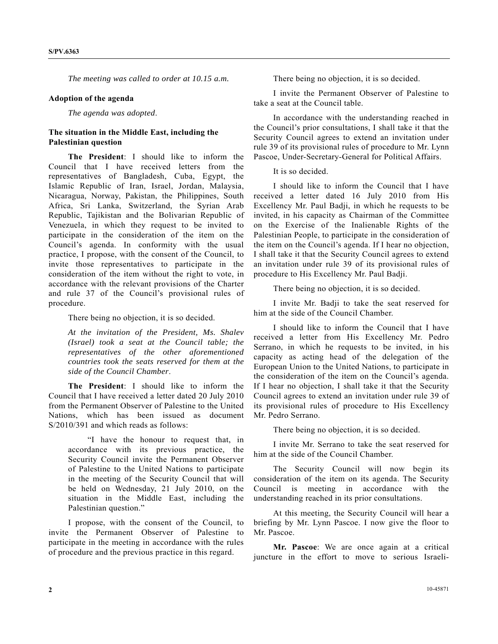*The meeting was called to order at 10.15 a.m.* 

## **Adoption of the agenda**

*The agenda was adopted*.

## **The situation in the Middle East, including the Palestinian question**

 **The President**: I should like to inform the Council that I have received letters from the representatives of Bangladesh, Cuba, Egypt, the Islamic Republic of Iran, Israel, Jordan, Malaysia, Nicaragua, Norway, Pakistan, the Philippines, South Africa, Sri Lanka, Switzerland, the Syrian Arab Republic, Tajikistan and the Bolivarian Republic of Venezuela, in which they request to be invited to participate in the consideration of the item on the Council's agenda. In conformity with the usual practice, I propose, with the consent of the Council, to invite those representatives to participate in the consideration of the item without the right to vote, in accordance with the relevant provisions of the Charter and rule 37 of the Council's provisional rules of procedure.

There being no objection, it is so decided.

*At the invitation of the President, Ms. Shalev (Israel) took a seat at the Council table; the representatives of the other aforementioned countries took the seats reserved for them at the side of the Council Chamber*.

**The President**: I should like to inform the Council that I have received a letter dated 20 July 2010 from the Permanent Observer of Palestine to the United Nations, which has been issued as document S/2010/391 and which reads as follows:

 "I have the honour to request that, in accordance with its previous practice, the Security Council invite the Permanent Observer of Palestine to the United Nations to participate in the meeting of the Security Council that will be held on Wednesday, 21 July 2010, on the situation in the Middle East, including the Palestinian question."

 I propose, with the consent of the Council, to invite the Permanent Observer of Palestine to participate in the meeting in accordance with the rules of procedure and the previous practice in this regard.

There being no objection, it is so decided.

 I invite the Permanent Observer of Palestine to take a seat at the Council table.

 In accordance with the understanding reached in the Council's prior consultations, I shall take it that the Security Council agrees to extend an invitation under rule 39 of its provisional rules of procedure to Mr. Lynn Pascoe, Under-Secretary-General for Political Affairs.

It is so decided.

 I should like to inform the Council that I have received a letter dated 16 July 2010 from His Excellency Mr. Paul Badji, in which he requests to be invited, in his capacity as Chairman of the Committee on the Exercise of the Inalienable Rights of the Palestinian People, to participate in the consideration of the item on the Council's agenda. If I hear no objection, I shall take it that the Security Council agrees to extend an invitation under rule 39 of its provisional rules of procedure to His Excellency Mr. Paul Badji.

There being no objection, it is so decided.

 I invite Mr. Badji to take the seat reserved for him at the side of the Council Chamber.

 I should like to inform the Council that I have received a letter from His Excellency Mr. Pedro Serrano, in which he requests to be invited, in his capacity as acting head of the delegation of the European Union to the United Nations, to participate in the consideration of the item on the Council's agenda. If I hear no objection, I shall take it that the Security Council agrees to extend an invitation under rule 39 of its provisional rules of procedure to His Excellency Mr. Pedro Serrano.

There being no objection, it is so decided.

 I invite Mr. Serrano to take the seat reserved for him at the side of the Council Chamber.

 The Security Council will now begin its consideration of the item on its agenda. The Security Council is meeting in accordance with the understanding reached in its prior consultations.

 At this meeting, the Security Council will hear a briefing by Mr. Lynn Pascoe. I now give the floor to Mr. Pascoe.

**Mr. Pascoe**: We are once again at a critical juncture in the effort to move to serious Israeli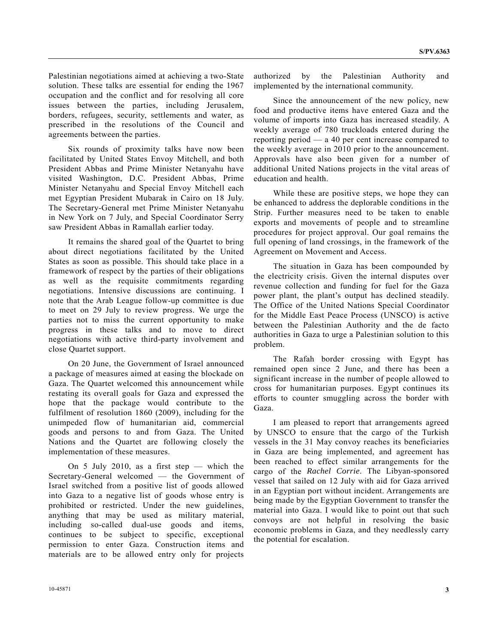Palestinian negotiations aimed at achieving a two-State solution. These talks are essential for ending the 1967 occupation and the conflict and for resolving all core issues between the parties, including Jerusalem, borders, refugees, security, settlements and water, as prescribed in the resolutions of the Council and agreements between the parties.

 Six rounds of proximity talks have now been facilitated by United States Envoy Mitchell, and both President Abbas and Prime Minister Netanyahu have visited Washington, D.C. President Abbas, Prime Minister Netanyahu and Special Envoy Mitchell each met Egyptian President Mubarak in Cairo on 18 July. The Secretary-General met Prime Minister Netanyahu in New York on 7 July, and Special Coordinator Serry saw President Abbas in Ramallah earlier today.

 It remains the shared goal of the Quartet to bring about direct negotiations facilitated by the United States as soon as possible. This should take place in a framework of respect by the parties of their obligations as well as the requisite commitments regarding negotiations. Intensive discussions are continuing. I note that the Arab League follow-up committee is due to meet on 29 July to review progress. We urge the parties not to miss the current opportunity to make progress in these talks and to move to direct negotiations with active third-party involvement and close Quartet support.

 On 20 June, the Government of Israel announced a package of measures aimed at easing the blockade on Gaza. The Quartet welcomed this announcement while restating its overall goals for Gaza and expressed the hope that the package would contribute to the fulfilment of resolution 1860 (2009), including for the unimpeded flow of humanitarian aid, commercial goods and persons to and from Gaza. The United Nations and the Quartet are following closely the implementation of these measures.

 On 5 July 2010, as a first step — which the Secretary-General welcomed — the Government of Israel switched from a positive list of goods allowed into Gaza to a negative list of goods whose entry is prohibited or restricted. Under the new guidelines, anything that may be used as military material, including so-called dual-use goods and items, continues to be subject to specific, exceptional permission to enter Gaza. Construction items and materials are to be allowed entry only for projects

authorized by the Palestinian Authority and implemented by the international community.

 Since the announcement of the new policy, new food and productive items have entered Gaza and the volume of imports into Gaza has increased steadily. A weekly average of 780 truckloads entered during the reporting period — a 40 per cent increase compared to the weekly average in 2010 prior to the announcement. Approvals have also been given for a number of additional United Nations projects in the vital areas of education and health.

 While these are positive steps, we hope they can be enhanced to address the deplorable conditions in the Strip. Further measures need to be taken to enable exports and movements of people and to streamline procedures for project approval. Our goal remains the full opening of land crossings, in the framework of the Agreement on Movement and Access.

 The situation in Gaza has been compounded by the electricity crisis. Given the internal disputes over revenue collection and funding for fuel for the Gaza power plant, the plant's output has declined steadily. The Office of the United Nations Special Coordinator for the Middle East Peace Process (UNSCO) is active between the Palestinian Authority and the de facto authorities in Gaza to urge a Palestinian solution to this problem.

 The Rafah border crossing with Egypt has remained open since 2 June, and there has been a significant increase in the number of people allowed to cross for humanitarian purposes. Egypt continues its efforts to counter smuggling across the border with Gaza.

 I am pleased to report that arrangements agreed by UNSCO to ensure that the cargo of the Turkish vessels in the 31 May convoy reaches its beneficiaries in Gaza are being implemented, and agreement has been reached to effect similar arrangements for the cargo of the *Rachel Corrie*. The Libyan-sponsored vessel that sailed on 12 July with aid for Gaza arrived in an Egyptian port without incident. Arrangements are being made by the Egyptian Government to transfer the material into Gaza. I would like to point out that such convoys are not helpful in resolving the basic economic problems in Gaza, and they needlessly carry the potential for escalation.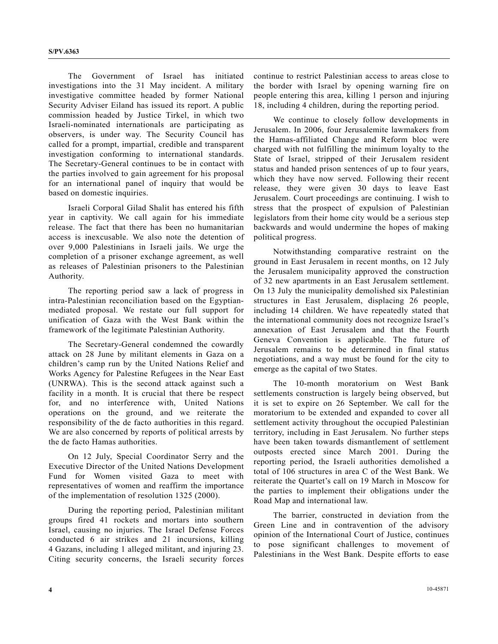The Government of Israel has initiated investigations into the 31 May incident. A military investigative committee headed by former National Security Adviser Eiland has issued its report. A public commission headed by Justice Tirkel, in which two Israeli-nominated internationals are participating as observers, is under way. The Security Council has called for a prompt, impartial, credible and transparent investigation conforming to international standards. The Secretary-General continues to be in contact with the parties involved to gain agreement for his proposal for an international panel of inquiry that would be based on domestic inquiries.

 Israeli Corporal Gilad Shalit has entered his fifth year in captivity. We call again for his immediate release. The fact that there has been no humanitarian access is inexcusable. We also note the detention of over 9,000 Palestinians in Israeli jails. We urge the completion of a prisoner exchange agreement, as well as releases of Palestinian prisoners to the Palestinian Authority.

 The reporting period saw a lack of progress in intra-Palestinian reconciliation based on the Egyptianmediated proposal. We restate our full support for unification of Gaza with the West Bank within the framework of the legitimate Palestinian Authority.

 The Secretary-General condemned the cowardly attack on 28 June by militant elements in Gaza on a children's camp run by the United Nations Relief and Works Agency for Palestine Refugees in the Near East (UNRWA). This is the second attack against such a facility in a month. It is crucial that there be respect for, and no interference with, United Nations operations on the ground, and we reiterate the responsibility of the de facto authorities in this regard. We are also concerned by reports of political arrests by the de facto Hamas authorities.

 On 12 July, Special Coordinator Serry and the Executive Director of the United Nations Development Fund for Women visited Gaza to meet with representatives of women and reaffirm the importance of the implementation of resolution 1325 (2000).

 During the reporting period, Palestinian militant groups fired 41 rockets and mortars into southern Israel, causing no injuries. The Israel Defense Forces conducted 6 air strikes and 21 incursions, killing 4 Gazans, including 1 alleged militant, and injuring 23. Citing security concerns, the Israeli security forces continue to restrict Palestinian access to areas close to the border with Israel by opening warning fire on people entering this area, killing 1 person and injuring 18, including 4 children, during the reporting period.

 We continue to closely follow developments in Jerusalem. In 2006, four Jerusalemite lawmakers from the Hamas-affiliated Change and Reform bloc were charged with not fulfilling the minimum loyalty to the State of Israel, stripped of their Jerusalem resident status and handed prison sentences of up to four years, which they have now served. Following their recent release, they were given 30 days to leave East Jerusalem. Court proceedings are continuing. I wish to stress that the prospect of expulsion of Palestinian legislators from their home city would be a serious step backwards and would undermine the hopes of making political progress.

 Notwithstanding comparative restraint on the ground in East Jerusalem in recent months, on 12 July the Jerusalem municipality approved the construction of 32 new apartments in an East Jerusalem settlement. On 13 July the municipality demolished six Palestinian structures in East Jerusalem, displacing 26 people, including 14 children. We have repeatedly stated that the international community does not recognize Israel's annexation of East Jerusalem and that the Fourth Geneva Convention is applicable. The future of Jerusalem remains to be determined in final status negotiations, and a way must be found for the city to emerge as the capital of two States.

 The 10-month moratorium on West Bank settlements construction is largely being observed, but it is set to expire on 26 September. We call for the moratorium to be extended and expanded to cover all settlement activity throughout the occupied Palestinian territory, including in East Jerusalem. No further steps have been taken towards dismantlement of settlement outposts erected since March 2001. During the reporting period, the Israeli authorities demolished a total of 106 structures in area C of the West Bank. We reiterate the Quartet's call on 19 March in Moscow for the parties to implement their obligations under the Road Map and international law.

 The barrier, constructed in deviation from the Green Line and in contravention of the advisory opinion of the International Court of Justice, continues to pose significant challenges to movement of Palestinians in the West Bank. Despite efforts to ease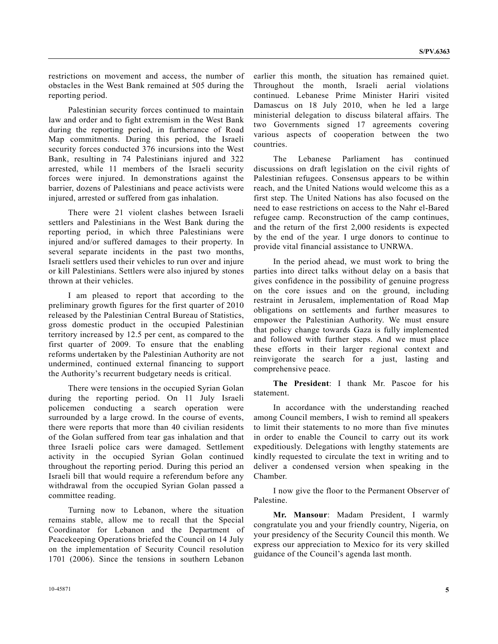restrictions on movement and access, the number of obstacles in the West Bank remained at 505 during the reporting period.

 Palestinian security forces continued to maintain law and order and to fight extremism in the West Bank during the reporting period, in furtherance of Road Map commitments. During this period, the Israeli security forces conducted 376 incursions into the West Bank, resulting in 74 Palestinians injured and 322 arrested, while 11 members of the Israeli security forces were injured. In demonstrations against the barrier, dozens of Palestinians and peace activists were injured, arrested or suffered from gas inhalation.

 There were 21 violent clashes between Israeli settlers and Palestinians in the West Bank during the reporting period, in which three Palestinians were injured and/or suffered damages to their property. In several separate incidents in the past two months, Israeli settlers used their vehicles to run over and injure or kill Palestinians. Settlers were also injured by stones thrown at their vehicles.

 I am pleased to report that according to the preliminary growth figures for the first quarter of 2010 released by the Palestinian Central Bureau of Statistics, gross domestic product in the occupied Palestinian territory increased by 12.5 per cent, as compared to the first quarter of 2009. To ensure that the enabling reforms undertaken by the Palestinian Authority are not undermined, continued external financing to support the Authority's recurrent budgetary needs is critical.

 There were tensions in the occupied Syrian Golan during the reporting period. On 11 July Israeli policemen conducting a search operation were surrounded by a large crowd. In the course of events, there were reports that more than 40 civilian residents of the Golan suffered from tear gas inhalation and that three Israeli police cars were damaged. Settlement activity in the occupied Syrian Golan continued throughout the reporting period. During this period an Israeli bill that would require a referendum before any withdrawal from the occupied Syrian Golan passed a committee reading.

 Turning now to Lebanon, where the situation remains stable, allow me to recall that the Special Coordinator for Lebanon and the Department of Peacekeeping Operations briefed the Council on 14 July on the implementation of Security Council resolution 1701 (2006). Since the tensions in southern Lebanon

earlier this month, the situation has remained quiet. Throughout the month, Israeli aerial violations continued. Lebanese Prime Minister Hariri visited Damascus on 18 July 2010, when he led a large ministerial delegation to discuss bilateral affairs. The two Governments signed 17 agreements covering various aspects of cooperation between the two countries.

 The Lebanese Parliament has continued discussions on draft legislation on the civil rights of Palestinian refugees. Consensus appears to be within reach, and the United Nations would welcome this as a first step. The United Nations has also focused on the need to ease restrictions on access to the Nahr el-Bared refugee camp. Reconstruction of the camp continues, and the return of the first 2,000 residents is expected by the end of the year. I urge donors to continue to provide vital financial assistance to UNRWA.

 In the period ahead, we must work to bring the parties into direct talks without delay on a basis that gives confidence in the possibility of genuine progress on the core issues and on the ground, including restraint in Jerusalem, implementation of Road Map obligations on settlements and further measures to empower the Palestinian Authority. We must ensure that policy change towards Gaza is fully implemented and followed with further steps. And we must place these efforts in their larger regional context and reinvigorate the search for a just, lasting and comprehensive peace.

**The President**: I thank Mr. Pascoe for his statement.

 In accordance with the understanding reached among Council members, I wish to remind all speakers to limit their statements to no more than five minutes in order to enable the Council to carry out its work expeditiously. Delegations with lengthy statements are kindly requested to circulate the text in writing and to deliver a condensed version when speaking in the Chamber.

 I now give the floor to the Permanent Observer of Palestine.

**Mr. Mansour**: Madam President, I warmly congratulate you and your friendly country, Nigeria, on your presidency of the Security Council this month. We express our appreciation to Mexico for its very skilled guidance of the Council's agenda last month.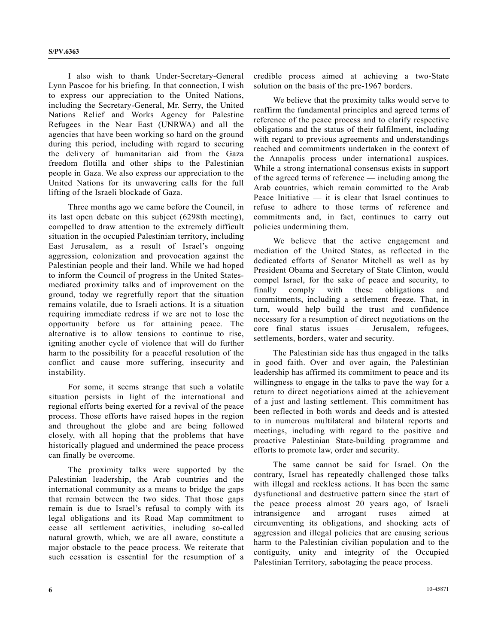I also wish to thank Under-Secretary-General Lynn Pascoe for his briefing. In that connection, I wish to express our appreciation to the United Nations, including the Secretary-General, Mr. Serry, the United Nations Relief and Works Agency for Palestine Refugees in the Near East (UNRWA) and all the agencies that have been working so hard on the ground during this period, including with regard to securing the delivery of humanitarian aid from the Gaza freedom flotilla and other ships to the Palestinian people in Gaza. We also express our appreciation to the United Nations for its unwavering calls for the full lifting of the Israeli blockade of Gaza.

 Three months ago we came before the Council, in its last open debate on this subject (6298th meeting), compelled to draw attention to the extremely difficult situation in the occupied Palestinian territory, including East Jerusalem, as a result of Israel's ongoing aggression, colonization and provocation against the Palestinian people and their land. While we had hoped to inform the Council of progress in the United Statesmediated proximity talks and of improvement on the ground, today we regretfully report that the situation remains volatile, due to Israeli actions. It is a situation requiring immediate redress if we are not to lose the opportunity before us for attaining peace. The alternative is to allow tensions to continue to rise, igniting another cycle of violence that will do further harm to the possibility for a peaceful resolution of the conflict and cause more suffering, insecurity and instability.

 For some, it seems strange that such a volatile situation persists in light of the international and regional efforts being exerted for a revival of the peace process. Those efforts have raised hopes in the region and throughout the globe and are being followed closely, with all hoping that the problems that have historically plagued and undermined the peace process can finally be overcome.

 The proximity talks were supported by the Palestinian leadership, the Arab countries and the international community as a means to bridge the gaps that remain between the two sides. That those gaps remain is due to Israel's refusal to comply with its legal obligations and its Road Map commitment to cease all settlement activities, including so-called natural growth, which, we are all aware, constitute a major obstacle to the peace process. We reiterate that such cessation is essential for the resumption of a credible process aimed at achieving a two-State solution on the basis of the pre-1967 borders.

 We believe that the proximity talks would serve to reaffirm the fundamental principles and agreed terms of reference of the peace process and to clarify respective obligations and the status of their fulfilment, including with regard to previous agreements and understandings reached and commitments undertaken in the context of the Annapolis process under international auspices. While a strong international consensus exists in support of the agreed terms of reference — including among the Arab countries, which remain committed to the Arab Peace Initiative  $-$  it is clear that Israel continues to refuse to adhere to those terms of reference and commitments and, in fact, continues to carry out policies undermining them.

 We believe that the active engagement and mediation of the United States, as reflected in the dedicated efforts of Senator Mitchell as well as by President Obama and Secretary of State Clinton, would compel Israel, for the sake of peace and security, to finally comply with these obligations and commitments, including a settlement freeze. That, in turn, would help build the trust and confidence necessary for a resumption of direct negotiations on the core final status issues — Jerusalem, refugees, settlements, borders, water and security.

 The Palestinian side has thus engaged in the talks in good faith. Over and over again, the Palestinian leadership has affirmed its commitment to peace and its willingness to engage in the talks to pave the way for a return to direct negotiations aimed at the achievement of a just and lasting settlement. This commitment has been reflected in both words and deeds and is attested to in numerous multilateral and bilateral reports and meetings, including with regard to the positive and proactive Palestinian State-building programme and efforts to promote law, order and security.

 The same cannot be said for Israel. On the contrary, Israel has repeatedly challenged those talks with illegal and reckless actions. It has been the same dysfunctional and destructive pattern since the start of the peace process almost 20 years ago, of Israeli intransigence and arrogant ruses aimed at circumventing its obligations, and shocking acts of aggression and illegal policies that are causing serious harm to the Palestinian civilian population and to the contiguity, unity and integrity of the Occupied Palestinian Territory, sabotaging the peace process.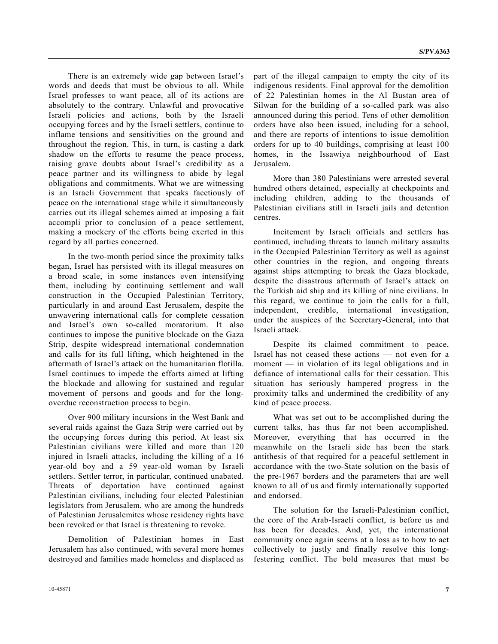There is an extremely wide gap between Israel's words and deeds that must be obvious to all. While Israel professes to want peace, all of its actions are absolutely to the contrary. Unlawful and provocative Israeli policies and actions, both by the Israeli occupying forces and by the Israeli settlers, continue to inflame tensions and sensitivities on the ground and throughout the region. This, in turn, is casting a dark shadow on the efforts to resume the peace process, raising grave doubts about Israel's credibility as a peace partner and its willingness to abide by legal obligations and commitments. What we are witnessing is an Israeli Government that speaks facetiously of peace on the international stage while it simultaneously carries out its illegal schemes aimed at imposing a fait accompli prior to conclusion of a peace settlement, making a mockery of the efforts being exerted in this regard by all parties concerned.

 In the two-month period since the proximity talks began, Israel has persisted with its illegal measures on a broad scale, in some instances even intensifying them, including by continuing settlement and wall construction in the Occupied Palestinian Territory, particularly in and around East Jerusalem, despite the unwavering international calls for complete cessation and Israel's own so-called moratorium. It also continues to impose the punitive blockade on the Gaza Strip, despite widespread international condemnation and calls for its full lifting, which heightened in the aftermath of Israel's attack on the humanitarian flotilla. Israel continues to impede the efforts aimed at lifting the blockade and allowing for sustained and regular movement of persons and goods and for the longoverdue reconstruction process to begin.

 Over 900 military incursions in the West Bank and several raids against the Gaza Strip were carried out by the occupying forces during this period. At least six Palestinian civilians were killed and more than 120 injured in Israeli attacks, including the killing of a 16 year-old boy and a 59 year-old woman by Israeli settlers. Settler terror, in particular, continued unabated. Threats of deportation have continued against Palestinian civilians, including four elected Palestinian legislators from Jerusalem, who are among the hundreds of Palestinian Jerusalemites whose residency rights have been revoked or that Israel is threatening to revoke.

 Demolition of Palestinian homes in East Jerusalem has also continued, with several more homes destroyed and families made homeless and displaced as part of the illegal campaign to empty the city of its indigenous residents. Final approval for the demolition of 22 Palestinian homes in the Al Bustan area of Silwan for the building of a so-called park was also announced during this period. Tens of other demolition orders have also been issued, including for a school, and there are reports of intentions to issue demolition orders for up to 40 buildings, comprising at least 100 homes, in the Issawiya neighbourhood of East Jerusalem.

 More than 380 Palestinians were arrested several hundred others detained, especially at checkpoints and including children, adding to the thousands of Palestinian civilians still in Israeli jails and detention centres.

 Incitement by Israeli officials and settlers has continued, including threats to launch military assaults in the Occupied Palestinian Territory as well as against other countries in the region, and ongoing threats against ships attempting to break the Gaza blockade, despite the disastrous aftermath of Israel's attack on the Turkish aid ship and its killing of nine civilians. In this regard, we continue to join the calls for a full, independent, credible, international investigation, under the auspices of the Secretary-General, into that Israeli attack.

 Despite its claimed commitment to peace, Israel has not ceased these actions — not even for a moment — in violation of its legal obligations and in defiance of international calls for their cessation. This situation has seriously hampered progress in the proximity talks and undermined the credibility of any kind of peace process.

 What was set out to be accomplished during the current talks, has thus far not been accomplished. Moreover, everything that has occurred in the meanwhile on the Israeli side has been the stark antithesis of that required for a peaceful settlement in accordance with the two-State solution on the basis of the pre-1967 borders and the parameters that are well known to all of us and firmly internationally supported and endorsed.

 The solution for the Israeli-Palestinian conflict, the core of the Arab-Israeli conflict, is before us and has been for decades. And, yet, the international community once again seems at a loss as to how to act collectively to justly and finally resolve this longfestering conflict. The bold measures that must be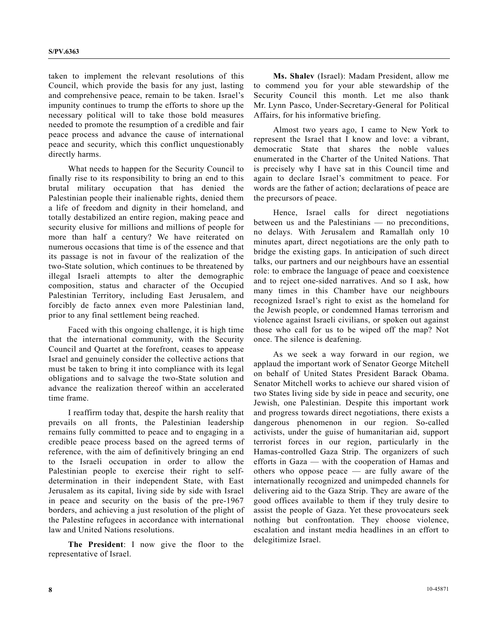taken to implement the relevant resolutions of this Council, which provide the basis for any just, lasting and comprehensive peace, remain to be taken. Israel's impunity continues to trump the efforts to shore up the necessary political will to take those bold measures needed to promote the resumption of a credible and fair peace process and advance the cause of international peace and security, which this conflict unquestionably directly harms.

 What needs to happen for the Security Council to finally rise to its responsibility to bring an end to this brutal military occupation that has denied the Palestinian people their inalienable rights, denied them a life of freedom and dignity in their homeland, and totally destabilized an entire region, making peace and security elusive for millions and millions of people for more than half a century? We have reiterated on numerous occasions that time is of the essence and that its passage is not in favour of the realization of the two-State solution, which continues to be threatened by illegal Israeli attempts to alter the demographic composition, status and character of the Occupied Palestinian Territory, including East Jerusalem, and forcibly de facto annex even more Palestinian land, prior to any final settlement being reached.

 Faced with this ongoing challenge, it is high time that the international community, with the Security Council and Quartet at the forefront, ceases to appease Israel and genuinely consider the collective actions that must be taken to bring it into compliance with its legal obligations and to salvage the two-State solution and advance the realization thereof within an accelerated time frame.

 I reaffirm today that, despite the harsh reality that prevails on all fronts, the Palestinian leadership remains fully committed to peace and to engaging in a credible peace process based on the agreed terms of reference, with the aim of definitively bringing an end to the Israeli occupation in order to allow the Palestinian people to exercise their right to selfdetermination in their independent State, with East Jerusalem as its capital, living side by side with Israel in peace and security on the basis of the pre-1967 borders, and achieving a just resolution of the plight of the Palestine refugees in accordance with international law and United Nations resolutions.

**The President**: I now give the floor to the representative of Israel.

**Ms. Shalev** (Israel): Madam President, allow me to commend you for your able stewardship of the Security Council this month. Let me also thank Mr. Lynn Pasco, Under-Secretary-General for Political Affairs, for his informative briefing.

 Almost two years ago, I came to New York to represent the Israel that I know and love: a vibrant, democratic State that shares the noble values enumerated in the Charter of the United Nations. That is precisely why I have sat in this Council time and again to declare Israel's commitment to peace. For words are the father of action; declarations of peace are the precursors of peace.

 Hence, Israel calls for direct negotiations between us and the Palestinians — no preconditions, no delays. With Jerusalem and Ramallah only 10 minutes apart, direct negotiations are the only path to bridge the existing gaps. In anticipation of such direct talks, our partners and our neighbours have an essential role: to embrace the language of peace and coexistence and to reject one-sided narratives. And so I ask, how many times in this Chamber have our neighbours recognized Israel's right to exist as the homeland for the Jewish people, or condemned Hamas terrorism and violence against Israeli civilians, or spoken out against those who call for us to be wiped off the map? Not once. The silence is deafening.

 As we seek a way forward in our region, we applaud the important work of Senator George Mitchell on behalf of United States President Barack Obama. Senator Mitchell works to achieve our shared vision of two States living side by side in peace and security, one Jewish, one Palestinian. Despite this important work and progress towards direct negotiations, there exists a dangerous phenomenon in our region. So-called activists, under the guise of humanitarian aid, support terrorist forces in our region, particularly in the Hamas-controlled Gaza Strip. The organizers of such efforts in Gaza — with the cooperation of Hamas and others who oppose peace — are fully aware of the internationally recognized and unimpeded channels for delivering aid to the Gaza Strip. They are aware of the good offices available to them if they truly desire to assist the people of Gaza. Yet these provocateurs seek nothing but confrontation. They choose violence, escalation and instant media headlines in an effort to delegitimize Israel.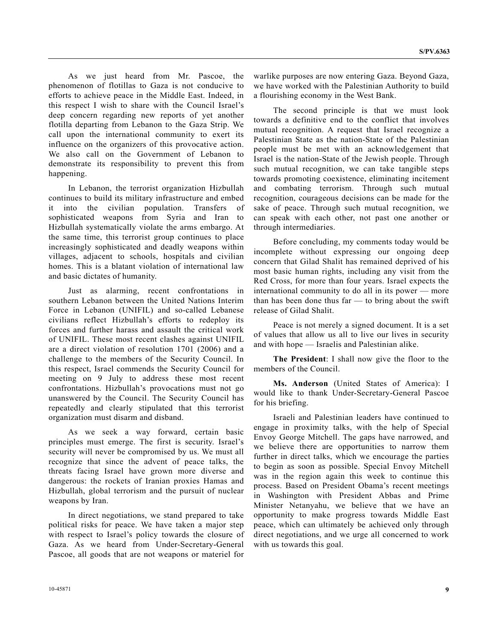As we just heard from Mr. Pascoe, the phenomenon of flotillas to Gaza is not conducive to efforts to achieve peace in the Middle East. Indeed, in this respect I wish to share with the Council Israel's deep concern regarding new reports of yet another flotilla departing from Lebanon to the Gaza Strip. We call upon the international community to exert its influence on the organizers of this provocative action. We also call on the Government of Lebanon to demonstrate its responsibility to prevent this from happening.

 In Lebanon, the terrorist organization Hizbullah continues to build its military infrastructure and embed it into the civilian population. Transfers of sophisticated weapons from Syria and Iran to Hizbullah systematically violate the arms embargo. At the same time, this terrorist group continues to place increasingly sophisticated and deadly weapons within villages, adjacent to schools, hospitals and civilian homes. This is a blatant violation of international law and basic dictates of humanity.

 Just as alarming, recent confrontations in southern Lebanon between the United Nations Interim Force in Lebanon (UNIFIL) and so-called Lebanese civilians reflect Hizbullah's efforts to redeploy its forces and further harass and assault the critical work of UNIFIL. These most recent clashes against UNIFIL are a direct violation of resolution 1701 (2006) and a challenge to the members of the Security Council. In this respect, Israel commends the Security Council for meeting on 9 July to address these most recent confrontations. Hizbullah's provocations must not go unanswered by the Council. The Security Council has repeatedly and clearly stipulated that this terrorist organization must disarm and disband.

 As we seek a way forward, certain basic principles must emerge. The first is security. Israel's security will never be compromised by us. We must all recognize that since the advent of peace talks, the threats facing Israel have grown more diverse and dangerous: the rockets of Iranian proxies Hamas and Hizbullah, global terrorism and the pursuit of nuclear weapons by Iran.

 In direct negotiations, we stand prepared to take political risks for peace. We have taken a major step with respect to Israel's policy towards the closure of Gaza. As we heard from Under-Secretary-General Pascoe, all goods that are not weapons or materiel for

warlike purposes are now entering Gaza. Beyond Gaza, we have worked with the Palestinian Authority to build a flourishing economy in the West Bank.

 The second principle is that we must look towards a definitive end to the conflict that involves mutual recognition. A request that Israel recognize a Palestinian State as the nation-State of the Palestinian people must be met with an acknowledgement that Israel is the nation-State of the Jewish people. Through such mutual recognition, we can take tangible steps towards promoting coexistence, eliminating incitement and combating terrorism. Through such mutual recognition, courageous decisions can be made for the sake of peace. Through such mutual recognition, we can speak with each other, not past one another or through intermediaries.

 Before concluding, my comments today would be incomplete without expressing our ongoing deep concern that Gilad Shalit has remained deprived of his most basic human rights, including any visit from the Red Cross, for more than four years. Israel expects the international community to do all in its power — more than has been done thus far — to bring about the swift release of Gilad Shalit.

 Peace is not merely a signed document. It is a set of values that allow us all to live our lives in security and with hope — Israelis and Palestinian alike.

**The President**: I shall now give the floor to the members of the Council.

**Ms. Anderson** (United States of America): I would like to thank Under-Secretary-General Pascoe for his briefing.

 Israeli and Palestinian leaders have continued to engage in proximity talks, with the help of Special Envoy George Mitchell. The gaps have narrowed, and we believe there are opportunities to narrow them further in direct talks, which we encourage the parties to begin as soon as possible. Special Envoy Mitchell was in the region again this week to continue this process. Based on President Obama's recent meetings in Washington with President Abbas and Prime Minister Netanyahu, we believe that we have an opportunity to make progress towards Middle East peace, which can ultimately be achieved only through direct negotiations, and we urge all concerned to work with us towards this goal.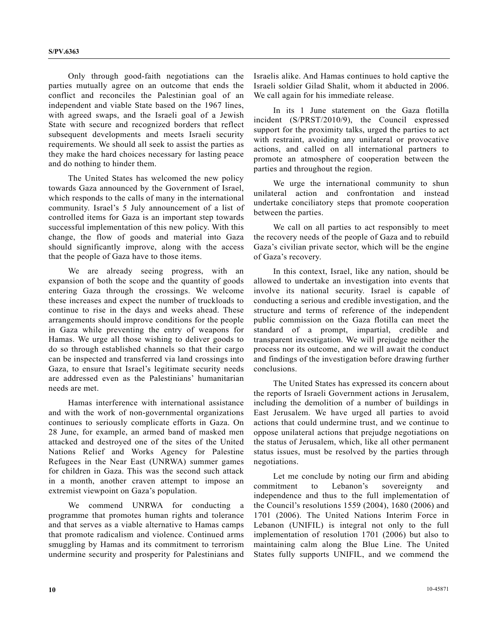Only through good-faith negotiations can the parties mutually agree on an outcome that ends the conflict and reconciles the Palestinian goal of an independent and viable State based on the 1967 lines, with agreed swaps, and the Israeli goal of a Jewish State with secure and recognized borders that reflect subsequent developments and meets Israeli security requirements. We should all seek to assist the parties as they make the hard choices necessary for lasting peace and do nothing to hinder them.

 The United States has welcomed the new policy towards Gaza announced by the Government of Israel, which responds to the calls of many in the international community. Israel's 5 July announcement of a list of controlled items for Gaza is an important step towards successful implementation of this new policy. With this change, the flow of goods and material into Gaza should significantly improve, along with the access that the people of Gaza have to those items.

 We are already seeing progress, with an expansion of both the scope and the quantity of goods entering Gaza through the crossings. We welcome these increases and expect the number of truckloads to continue to rise in the days and weeks ahead. These arrangements should improve conditions for the people in Gaza while preventing the entry of weapons for Hamas. We urge all those wishing to deliver goods to do so through established channels so that their cargo can be inspected and transferred via land crossings into Gaza, to ensure that Israel's legitimate security needs are addressed even as the Palestinians' humanitarian needs are met.

 Hamas interference with international assistance and with the work of non-governmental organizations continues to seriously complicate efforts in Gaza. On 28 June, for example, an armed band of masked men attacked and destroyed one of the sites of the United Nations Relief and Works Agency for Palestine Refugees in the Near East (UNRWA) summer games for children in Gaza. This was the second such attack in a month, another craven attempt to impose an extremist viewpoint on Gaza's population.

 We commend UNRWA for conducting a programme that promotes human rights and tolerance and that serves as a viable alternative to Hamas camps that promote radicalism and violence. Continued arms smuggling by Hamas and its commitment to terrorism undermine security and prosperity for Palestinians and Israelis alike. And Hamas continues to hold captive the Israeli soldier Gilad Shalit, whom it abducted in 2006. We call again for his immediate release.

 In its 1 June statement on the Gaza flotilla incident (S/PRST/2010/9), the Council expressed support for the proximity talks, urged the parties to act with restraint, avoiding any unilateral or provocative actions, and called on all international partners to promote an atmosphere of cooperation between the parties and throughout the region.

 We urge the international community to shun unilateral action and confrontation and instead undertake conciliatory steps that promote cooperation between the parties.

 We call on all parties to act responsibly to meet the recovery needs of the people of Gaza and to rebuild Gaza's civilian private sector, which will be the engine of Gaza's recovery.

 In this context, Israel, like any nation, should be allowed to undertake an investigation into events that involve its national security. Israel is capable of conducting a serious and credible investigation, and the structure and terms of reference of the independent public commission on the Gaza flotilla can meet the standard of a prompt, impartial, credible and transparent investigation. We will prejudge neither the process nor its outcome, and we will await the conduct and findings of the investigation before drawing further conclusions.

 The United States has expressed its concern about the reports of Israeli Government actions in Jerusalem, including the demolition of a number of buildings in East Jerusalem. We have urged all parties to avoid actions that could undermine trust, and we continue to oppose unilateral actions that prejudge negotiations on the status of Jerusalem, which, like all other permanent status issues, must be resolved by the parties through negotiations.

 Let me conclude by noting our firm and abiding commitment to Lebanon's sovereignty and independence and thus to the full implementation of the Council's resolutions 1559 (2004), 1680 (2006) and 1701 (2006). The United Nations Interim Force in Lebanon (UNIFIL) is integral not only to the full implementation of resolution 1701 (2006) but also to maintaining calm along the Blue Line. The United States fully supports UNIFIL, and we commend the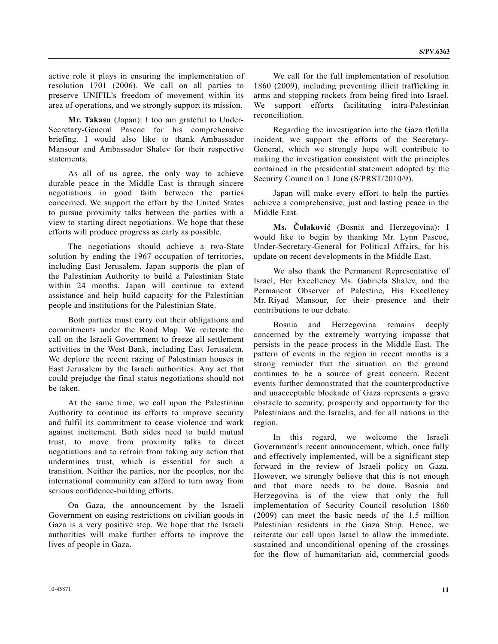active role it plays in ensuring the implementation of resolution 1701 (2006). We call on all parties to preserve UNIFIL's freedom of movement within its area of operations, and we strongly support its mission.

**Mr. Takasu** (Japan): I too am grateful to Under-Secretary-General Pascoe for his comprehensive briefing. I would also like to thank Ambassador Mansour and Ambassador Shalev for their respective statements.

 As all of us agree, the only way to achieve durable peace in the Middle East is through sincere negotiations in good faith between the parties concerned. We support the effort by the United States to pursue proximity talks between the parties with a view to starting direct negotiations. We hope that these efforts will produce progress as early as possible.

 The negotiations should achieve a two-State solution by ending the 1967 occupation of territories, including East Jerusalem. Japan supports the plan of the Palestinian Authority to build a Palestinian State within 24 months. Japan will continue to extend assistance and help build capacity for the Palestinian people and institutions for the Palestinian State.

 Both parties must carry out their obligations and commitments under the Road Map. We reiterate the call on the Israeli Government to freeze all settlement activities in the West Bank, including East Jerusalem. We deplore the recent razing of Palestinian houses in East Jerusalem by the Israeli authorities. Any act that could prejudge the final status negotiations should not be taken.

 At the same time, we call upon the Palestinian Authority to continue its efforts to improve security and fulfil its commitment to cease violence and work against incitement. Both sides need to build mutual trust, to move from proximity talks to direct negotiations and to refrain from taking any action that undermines trust, which is essential for such a transition. Neither the parties, nor the peoples, nor the international community can afford to turn away from serious confidence-building efforts.

 On Gaza, the announcement by the Israeli Government on easing restrictions on civilian goods in Gaza is a very positive step. We hope that the Israeli authorities will make further efforts to improve the lives of people in Gaza.

 We call for the full implementation of resolution 1860 (2009), including preventing illicit trafficking in arms and stopping rockets from being fired into Israel. We support efforts facilitating intra-Palestinian reconciliation.

 Regarding the investigation into the Gaza flotilla incident, we support the efforts of the Secretary-General, which we strongly hope will contribute to making the investigation consistent with the principles contained in the presidential statement adopted by the Security Council on 1 June (S/PRST/2010/9).

 Japan will make every effort to help the parties achieve a comprehensive, just and lasting peace in the Middle East.

**Ms. Čolaković** (Bosnia and Herzegovina): I would like to begin by thanking Mr. Lynn Pascoe, Under-Secretary-General for Political Affairs, for his update on recent developments in the Middle East.

 We also thank the Permanent Representative of Israel, Her Excellency Ms. Gabriela Shalev, and the Permanent Observer of Palestine, His Excellency Mr. Riyad Mansour, for their presence and their contributions to our debate.

 Bosnia and Herzegovina remains deeply concerned by the extremely worrying impasse that persists in the peace process in the Middle East. The pattern of events in the region in recent months is a strong reminder that the situation on the ground continues to be a source of great concern. Recent events further demonstrated that the counterproductive and unacceptable blockade of Gaza represents a grave obstacle to security, prosperity and opportunity for the Palestinians and the Israelis, and for all nations in the region.

 In this regard, we welcome the Israeli Government's recent announcement, which, once fully and effectively implemented, will be a significant step forward in the review of Israeli policy on Gaza. However, we strongly believe that this is not enough and that more needs to be done. Bosnia and Herzegovina is of the view that only the full implementation of Security Council resolution 1860 (2009) can meet the basic needs of the 1.5 million Palestinian residents in the Gaza Strip. Hence, we reiterate our call upon Israel to allow the immediate, sustained and unconditional opening of the crossings for the flow of humanitarian aid, commercial goods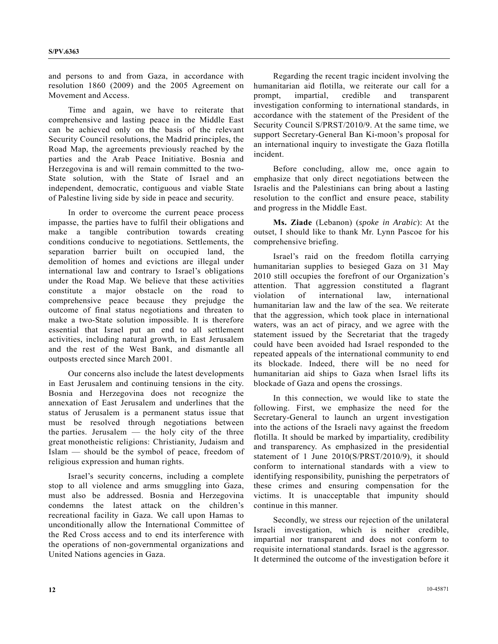and persons to and from Gaza, in accordance with resolution 1860 (2009) and the 2005 Agreement on Movement and Access.

 Time and again, we have to reiterate that comprehensive and lasting peace in the Middle East can be achieved only on the basis of the relevant Security Council resolutions, the Madrid principles, the Road Map, the agreements previously reached by the parties and the Arab Peace Initiative. Bosnia and Herzegovina is and will remain committed to the two-State solution, with the State of Israel and an independent, democratic, contiguous and viable State of Palestine living side by side in peace and security.

 In order to overcome the current peace process impasse, the parties have to fulfil their obligations and make a tangible contribution towards creating conditions conducive to negotiations. Settlements, the separation barrier built on occupied land, the demolition of homes and evictions are illegal under international law and contrary to Israel's obligations under the Road Map. We believe that these activities constitute a major obstacle on the road to comprehensive peace because they prejudge the outcome of final status negotiations and threaten to make a two-State solution impossible. It is therefore essential that Israel put an end to all settlement activities, including natural growth, in East Jerusalem and the rest of the West Bank, and dismantle all outposts erected since March 2001.

 Our concerns also include the latest developments in East Jerusalem and continuing tensions in the city. Bosnia and Herzegovina does not recognize the annexation of East Jerusalem and underlines that the status of Jerusalem is a permanent status issue that must be resolved through negotiations between the parties. Jerusalem — the holy city of the three great monotheistic religions: Christianity, Judaism and Islam — should be the symbol of peace, freedom of religious expression and human rights.

 Israel's security concerns, including a complete stop to all violence and arms smuggling into Gaza, must also be addressed. Bosnia and Herzegovina condemns the latest attack on the children's recreational facility in Gaza. We call upon Hamas to unconditionally allow the International Committee of the Red Cross access and to end its interference with the operations of non-governmental organizations and United Nations agencies in Gaza.

 Regarding the recent tragic incident involving the humanitarian aid flotilla, we reiterate our call for a prompt, impartial, credible and transparent investigation conforming to international standards, in accordance with the statement of the President of the Security Council S/PRST/2010/9. At the same time, we support Secretary-General Ban Ki-moon's proposal for an international inquiry to investigate the Gaza flotilla incident.

 Before concluding, allow me, once again to emphasize that only direct negotiations between the Israelis and the Palestinians can bring about a lasting resolution to the conflict and ensure peace, stability and progress in the Middle East.

**Ms. Ziade** (Lebanon) (*spoke in Arabic*): At the outset, I should like to thank Mr. Lynn Pascoe for his comprehensive briefing.

 Israel's raid on the freedom flotilla carrying humanitarian supplies to besieged Gaza on 31 May 2010 still occupies the forefront of our Organization's attention. That aggression constituted a flagrant violation of international law, international humanitarian law and the law of the sea. We reiterate that the aggression, which took place in international waters, was an act of piracy, and we agree with the statement issued by the Secretariat that the tragedy could have been avoided had Israel responded to the repeated appeals of the international community to end its blockade. Indeed, there will be no need for humanitarian aid ships to Gaza when Israel lifts its blockade of Gaza and opens the crossings.

 In this connection, we would like to state the following. First, we emphasize the need for the Secretary-General to launch an urgent investigation into the actions of the Israeli navy against the freedom flotilla. It should be marked by impartiality, credibility and transparency. As emphasized in the presidential statement of 1 June 2010(S/PRST/2010/9), it should conform to international standards with a view to identifying responsibility, punishing the perpetrators of these crimes and ensuring compensation for the victims. It is unacceptable that impunity should continue in this manner.

 Secondly, we stress our rejection of the unilateral Israeli investigation, which is neither credible, impartial nor transparent and does not conform to requisite international standards. Israel is the aggressor. It determined the outcome of the investigation before it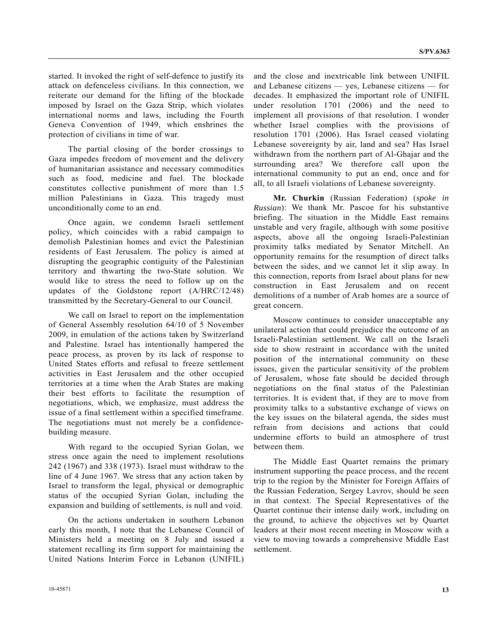started. It invoked the right of self-defence to justify its attack on defenceless civilians. In this connection, we reiterate our demand for the lifting of the blockade imposed by Israel on the Gaza Strip, which violates international norms and laws, including the Fourth Geneva Convention of 1949, which enshrines the protection of civilians in time of war.

 The partial closing of the border crossings to Gaza impedes freedom of movement and the delivery of humanitarian assistance and necessary commodities such as food, medicine and fuel. The blockade constitutes collective punishment of more than 1.5 million Palestinians in Gaza. This tragedy must unconditionally come to an end.

 Once again, we condemn Israeli settlement policy, which coincides with a rabid campaign to demolish Palestinian homes and evict the Palestinian residents of East Jerusalem. The policy is aimed at disrupting the geographic contiguity of the Palestinian territory and thwarting the two-State solution. We would like to stress the need to follow up on the updates of the Goldstone report (A/HRC/12/48) transmitted by the Secretary-General to our Council.

 We call on Israel to report on the implementation of General Assembly resolution 64/10 of 5 November 2009, in emulation of the actions taken by Switzerland and Palestine. Israel has intentionally hampered the peace process, as proven by its lack of response to United States efforts and refusal to freeze settlement activities in East Jerusalem and the other occupied territories at a time when the Arab States are making their best efforts to facilitate the resumption of negotiations, which, we emphasize, must address the issue of a final settlement within a specified timeframe. The negotiations must not merely be a confidencebuilding measure.

 With regard to the occupied Syrian Golan, we stress once again the need to implement resolutions 242 (1967) and 338 (1973). Israel must withdraw to the line of 4 June 1967. We stress that any action taken by Israel to transform the legal, physical or demographic status of the occupied Syrian Golan, including the expansion and building of settlements, is null and void.

 On the actions undertaken in southern Lebanon early this month, I note that the Lebanese Council of Ministers held a meeting on 8 July and issued a statement recalling its firm support for maintaining the United Nations Interim Force in Lebanon (UNIFIL)

and the close and inextricable link between UNIFIL and Lebanese citizens — yes, Lebanese citizens — for decades. It emphasized the important role of UNIFIL under resolution 1701 (2006) and the need to implement all provisions of that resolution. I wonder whether Israel complies with the provisions of resolution 1701 (2006). Has Israel ceased violating Lebanese sovereignty by air, land and sea? Has Israel withdrawn from the northern part of Al-Ghajar and the surrounding area? We therefore call upon the international community to put an end, once and for all, to all Israeli violations of Lebanese sovereignty.

**Mr. Churkin** (Russian Federation) (*spoke in Russian*): We thank Mr. Pascoe for his substantive briefing. The situation in the Middle East remains unstable and very fragile, although with some positive aspects, above all the ongoing Israeli-Palestinian proximity talks mediated by Senator Mitchell. An opportunity remains for the resumption of direct talks between the sides, and we cannot let it slip away. In this connection, reports from Israel about plans for new construction in East Jerusalem and on recent demolitions of a number of Arab homes are a source of great concern.

 Moscow continues to consider unacceptable any unilateral action that could prejudice the outcome of an Israeli-Palestinian settlement. We call on the Israeli side to show restraint in accordance with the united position of the international community on these issues, given the particular sensitivity of the problem of Jerusalem, whose fate should be decided through negotiations on the final status of the Palestinian territories. It is evident that, if they are to move from proximity talks to a substantive exchange of views on the key issues on the bilateral agenda, the sides must refrain from decisions and actions that could undermine efforts to build an atmosphere of trust between them.

 The Middle East Quartet remains the primary instrument supporting the peace process, and the recent trip to the region by the Minister for Foreign Affairs of the Russian Federation, Sergey Lavrov, should be seen in that context. The Special Representatives of the Quartet continue their intense daily work, including on the ground, to achieve the objectives set by Quartet leaders at their most recent meeting in Moscow with a view to moving towards a comprehensive Middle East settlement.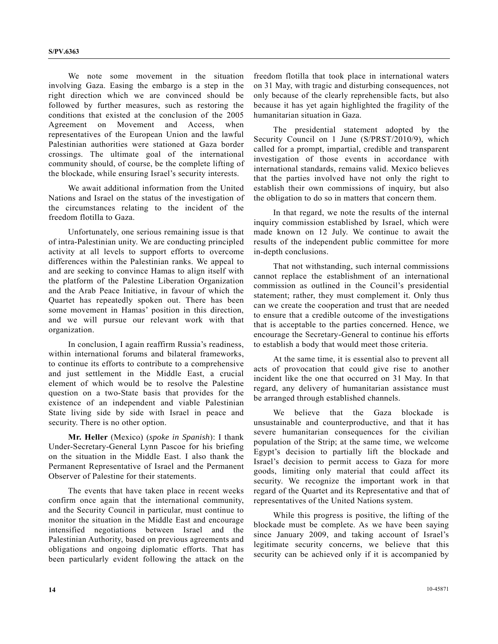We note some movement in the situation involving Gaza. Easing the embargo is a step in the right direction which we are convinced should be followed by further measures, such as restoring the conditions that existed at the conclusion of the 2005 Agreement on Movement and Access, when representatives of the European Union and the lawful Palestinian authorities were stationed at Gaza border crossings. The ultimate goal of the international community should, of course, be the complete lifting of the blockade, while ensuring Israel's security interests.

 We await additional information from the United Nations and Israel on the status of the investigation of the circumstances relating to the incident of the freedom flotilla to Gaza.

 Unfortunately, one serious remaining issue is that of intra-Palestinian unity. We are conducting principled activity at all levels to support efforts to overcome differences within the Palestinian ranks. We appeal to and are seeking to convince Hamas to align itself with the platform of the Palestine Liberation Organization and the Arab Peace Initiative, in favour of which the Quartet has repeatedly spoken out. There has been some movement in Hamas' position in this direction, and we will pursue our relevant work with that organization.

 In conclusion, I again reaffirm Russia's readiness, within international forums and bilateral frameworks, to continue its efforts to contribute to a comprehensive and just settlement in the Middle East, a crucial element of which would be to resolve the Palestine question on a two-State basis that provides for the existence of an independent and viable Palestinian State living side by side with Israel in peace and security. There is no other option.

**Mr. Heller** (Mexico) (*spoke in Spanish*): I thank Under-Secretary-General Lynn Pascoe for his briefing on the situation in the Middle East. I also thank the Permanent Representative of Israel and the Permanent Observer of Palestine for their statements.

 The events that have taken place in recent weeks confirm once again that the international community, and the Security Council in particular, must continue to monitor the situation in the Middle East and encourage intensified negotiations between Israel and the Palestinian Authority, based on previous agreements and obligations and ongoing diplomatic efforts. That has been particularly evident following the attack on the freedom flotilla that took place in international waters on 31 May, with tragic and disturbing consequences, not only because of the clearly reprehensible facts, but also because it has yet again highlighted the fragility of the humanitarian situation in Gaza.

 The presidential statement adopted by the Security Council on 1 June (S/PRST/2010/9), which called for a prompt, impartial, credible and transparent investigation of those events in accordance with international standards, remains valid. Mexico believes that the parties involved have not only the right to establish their own commissions of inquiry, but also the obligation to do so in matters that concern them.

 In that regard, we note the results of the internal inquiry commission established by Israel, which were made known on 12 July. We continue to await the results of the independent public committee for more in-depth conclusions.

 That not withstanding, such internal commissions cannot replace the establishment of an international commission as outlined in the Council's presidential statement; rather, they must complement it. Only thus can we create the cooperation and trust that are needed to ensure that a credible outcome of the investigations that is acceptable to the parties concerned. Hence, we encourage the Secretary-General to continue his efforts to establish a body that would meet those criteria.

 At the same time, it is essential also to prevent all acts of provocation that could give rise to another incident like the one that occurred on 31 May. In that regard, any delivery of humanitarian assistance must be arranged through established channels.

 We believe that the Gaza blockade is unsustainable and counterproductive, and that it has severe humanitarian consequences for the civilian population of the Strip; at the same time, we welcome Egypt's decision to partially lift the blockade and Israel's decision to permit access to Gaza for more goods, limiting only material that could affect its security. We recognize the important work in that regard of the Quartet and its Representative and that of representatives of the United Nations system.

 While this progress is positive, the lifting of the blockade must be complete. As we have been saying since January 2009, and taking account of Israel's legitimate security concerns, we believe that this security can be achieved only if it is accompanied by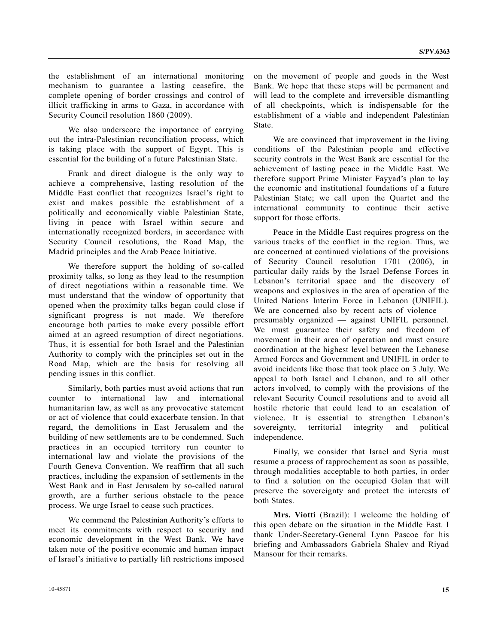the establishment of an international monitoring mechanism to guarantee a lasting ceasefire, the complete opening of border crossings and control of illicit trafficking in arms to Gaza, in accordance with Security Council resolution 1860 (2009).

 We also underscore the importance of carrying out the intra-Palestinian reconciliation process, which is taking place with the support of Egypt. This is essential for the building of a future Palestinian State.

 Frank and direct dialogue is the only way to achieve a comprehensive, lasting resolution of the Middle East conflict that recognizes Israel's right to exist and makes possible the establishment of a politically and economically viable Palestinian State, living in peace with Israel within secure and internationally recognized borders, in accordance with Security Council resolutions, the Road Map, the Madrid principles and the Arab Peace Initiative.

 We therefore support the holding of so-called proximity talks, so long as they lead to the resumption of direct negotiations within a reasonable time. We must understand that the window of opportunity that opened when the proximity talks began could close if significant progress is not made. We therefore encourage both parties to make every possible effort aimed at an agreed resumption of direct negotiations. Thus, it is essential for both Israel and the Palestinian Authority to comply with the principles set out in the Road Map, which are the basis for resolving all pending issues in this conflict.

 Similarly, both parties must avoid actions that run counter to international law and international humanitarian law, as well as any provocative statement or act of violence that could exacerbate tension. In that regard, the demolitions in East Jerusalem and the building of new settlements are to be condemned. Such practices in an occupied territory run counter to international law and violate the provisions of the Fourth Geneva Convention. We reaffirm that all such practices, including the expansion of settlements in the West Bank and in East Jerusalem by so-called natural growth, are a further serious obstacle to the peace process. We urge Israel to cease such practices.

 We commend the Palestinian Authority's efforts to meet its commitments with respect to security and economic development in the West Bank. We have taken note of the positive economic and human impact of Israel's initiative to partially lift restrictions imposed

on the movement of people and goods in the West Bank. We hope that these steps will be permanent and will lead to the complete and irreversible dismantling of all checkpoints, which is indispensable for the establishment of a viable and independent Palestinian State.

 We are convinced that improvement in the living conditions of the Palestinian people and effective security controls in the West Bank are essential for the achievement of lasting peace in the Middle East. We therefore support Prime Minister Fayyad's plan to lay the economic and institutional foundations of a future Palestinian State; we call upon the Quartet and the international community to continue their active support for those efforts.

 Peace in the Middle East requires progress on the various tracks of the conflict in the region. Thus, we are concerned at continued violations of the provisions of Security Council resolution 1701 (2006), in particular daily raids by the Israel Defense Forces in Lebanon's territorial space and the discovery of weapons and explosives in the area of operation of the United Nations Interim Force in Lebanon (UNIFIL). We are concerned also by recent acts of violence presumably organized — against UNIFIL personnel. We must guarantee their safety and freedom of movement in their area of operation and must ensure coordination at the highest level between the Lebanese Armed Forces and Government and UNIFIL in order to avoid incidents like those that took place on 3 July. We appeal to both Israel and Lebanon, and to all other actors involved, to comply with the provisions of the relevant Security Council resolutions and to avoid all hostile rhetoric that could lead to an escalation of violence. It is essential to strengthen Lebanon's sovereignty, territorial integrity and political independence.

 Finally, we consider that Israel and Syria must resume a process of rapprochement as soon as possible, through modalities acceptable to both parties, in order to find a solution on the occupied Golan that will preserve the sovereignty and protect the interests of both States.

**Mrs. Viotti** (Brazil): I welcome the holding of this open debate on the situation in the Middle East. I thank Under-Secretary-General Lynn Pascoe for his briefing and Ambassadors Gabriela Shalev and Riyad Mansour for their remarks.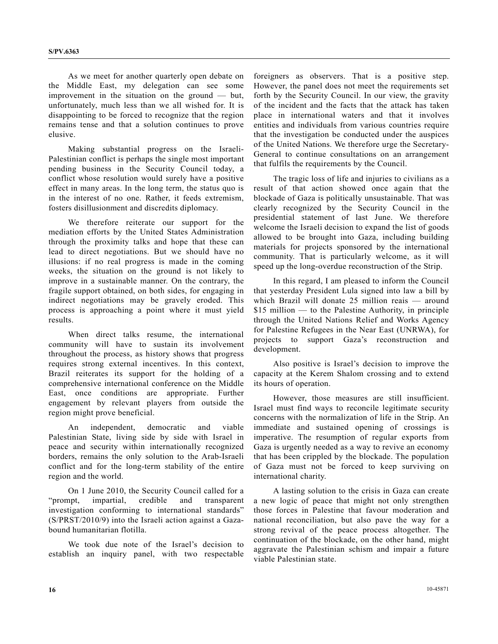As we meet for another quarterly open debate on the Middle East, my delegation can see some improvement in the situation on the ground — but, unfortunately, much less than we all wished for. It is disappointing to be forced to recognize that the region remains tense and that a solution continues to prove elusive.

 Making substantial progress on the Israeli-Palestinian conflict is perhaps the single most important pending business in the Security Council today, a conflict whose resolution would surely have a positive effect in many areas. In the long term, the status quo is in the interest of no one. Rather, it feeds extremism, fosters disillusionment and discredits diplomacy.

 We therefore reiterate our support for the mediation efforts by the United States Administration through the proximity talks and hope that these can lead to direct negotiations. But we should have no illusions: if no real progress is made in the coming weeks, the situation on the ground is not likely to improve in a sustainable manner. On the contrary, the fragile support obtained, on both sides, for engaging in indirect negotiations may be gravely eroded. This process is approaching a point where it must yield results.

 When direct talks resume, the international community will have to sustain its involvement throughout the process, as history shows that progress requires strong external incentives. In this context, Brazil reiterates its support for the holding of a comprehensive international conference on the Middle East, once conditions are appropriate. Further engagement by relevant players from outside the region might prove beneficial.

 An independent, democratic and viable Palestinian State, living side by side with Israel in peace and security within internationally recognized borders, remains the only solution to the Arab-Israeli conflict and for the long-term stability of the entire region and the world.

 On 1 June 2010, the Security Council called for a "prompt, impartial, credible and transparent investigation conforming to international standards" (S/PRST/2010/9) into the Israeli action against a Gazabound humanitarian flotilla.

 We took due note of the Israel's decision to establish an inquiry panel, with two respectable

foreigners as observers. That is a positive step. However, the panel does not meet the requirements set forth by the Security Council. In our view, the gravity of the incident and the facts that the attack has taken place in international waters and that it involves entities and individuals from various countries require that the investigation be conducted under the auspices of the United Nations. We therefore urge the Secretary-General to continue consultations on an arrangement that fulfils the requirements by the Council.

 The tragic loss of life and injuries to civilians as a result of that action showed once again that the blockade of Gaza is politically unsustainable. That was clearly recognized by the Security Council in the presidential statement of last June. We therefore welcome the Israeli decision to expand the list of goods allowed to be brought into Gaza, including building materials for projects sponsored by the international community. That is particularly welcome, as it will speed up the long-overdue reconstruction of the Strip.

 In this regard, I am pleased to inform the Council that yesterday President Lula signed into law a bill by which Brazil will donate 25 million reais — around \$15 million — to the Palestine Authority, in principle through the United Nations Relief and Works Agency for Palestine Refugees in the Near East (UNRWA), for projects to support Gaza's reconstruction and development.

 Also positive is Israel's decision to improve the capacity at the Kerem Shalom crossing and to extend its hours of operation.

 However, those measures are still insufficient. Israel must find ways to reconcile legitimate security concerns with the normalization of life in the Strip. An immediate and sustained opening of crossings is imperative. The resumption of regular exports from Gaza is urgently needed as a way to revive an economy that has been crippled by the blockade. The population of Gaza must not be forced to keep surviving on international charity.

 A lasting solution to the crisis in Gaza can create a new logic of peace that might not only strengthen those forces in Palestine that favour moderation and national reconciliation, but also pave the way for a strong revival of the peace process altogether. The continuation of the blockade, on the other hand, might aggravate the Palestinian schism and impair a future viable Palestinian state.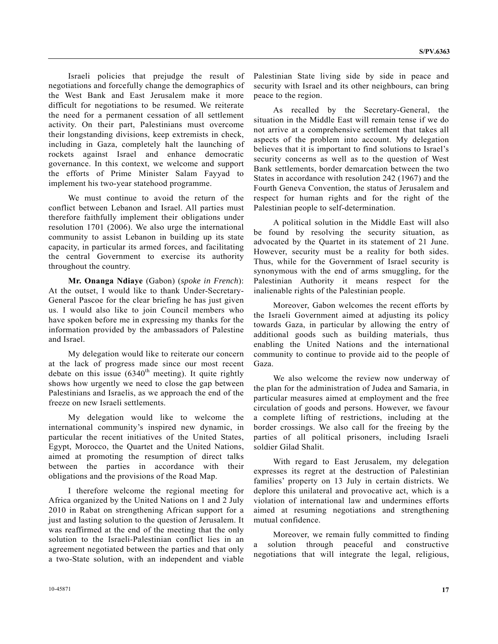Israeli policies that prejudge the result of negotiations and forcefully change the demographics of the West Bank and East Jerusalem make it more difficult for negotiations to be resumed. We reiterate the need for a permanent cessation of all settlement activity. On their part, Palestinians must overcome their longstanding divisions, keep extremists in check, including in Gaza, completely halt the launching of rockets against Israel and enhance democratic governance. In this context, we welcome and support the efforts of Prime Minister Salam Fayyad to implement his two-year statehood programme.

 We must continue to avoid the return of the conflict between Lebanon and Israel. All parties must therefore faithfully implement their obligations under resolution 1701 (2006). We also urge the international community to assist Lebanon in building up its state capacity, in particular its armed forces, and facilitating the central Government to exercise its authority throughout the country.

**Mr. Onanga Ndiaye** (Gabon) (*spoke in French*): At the outset, I would like to thank Under-Secretary-General Pascoe for the clear briefing he has just given us. I would also like to join Council members who have spoken before me in expressing my thanks for the information provided by the ambassadors of Palestine and Israel.

 My delegation would like to reiterate our concern at the lack of progress made since our most recent debate on this issue  $(6340<sup>th</sup> meeting)$ . It quite rightly shows how urgently we need to close the gap between Palestinians and Israelis, as we approach the end of the freeze on new Israeli settlements.

 My delegation would like to welcome the international community's inspired new dynamic, in particular the recent initiatives of the United States, Egypt, Morocco, the Quartet and the United Nations, aimed at promoting the resumption of direct talks between the parties in accordance with their obligations and the provisions of the Road Map.

 I therefore welcome the regional meeting for Africa organized by the United Nations on 1 and 2 July 2010 in Rabat on strengthening African support for a just and lasting solution to the question of Jerusalem. It was reaffirmed at the end of the meeting that the only solution to the Israeli-Palestinian conflict lies in an agreement negotiated between the parties and that only a two-State solution, with an independent and viable Palestinian State living side by side in peace and security with Israel and its other neighbours, can bring peace to the region.

 As recalled by the Secretary-General, the situation in the Middle East will remain tense if we do not arrive at a comprehensive settlement that takes all aspects of the problem into account. My delegation believes that it is important to find solutions to Israel's security concerns as well as to the question of West Bank settlements, border demarcation between the two States in accordance with resolution 242 (1967) and the Fourth Geneva Convention, the status of Jerusalem and respect for human rights and for the right of the Palestinian people to self-determination.

 A political solution in the Middle East will also be found by resolving the security situation, as advocated by the Quartet in its statement of 21 June. However, security must be a reality for both sides. Thus, while for the Government of Israel security is synonymous with the end of arms smuggling, for the Palestinian Authority it means respect for the inalienable rights of the Palestinian people.

 Moreover, Gabon welcomes the recent efforts by the Israeli Government aimed at adjusting its policy towards Gaza, in particular by allowing the entry of additional goods such as building materials, thus enabling the United Nations and the international community to continue to provide aid to the people of Gaza.

 We also welcome the review now underway of the plan for the administration of Judea and Samaria, in particular measures aimed at employment and the free circulation of goods and persons. However, we favour a complete lifting of restrictions, including at the border crossings. We also call for the freeing by the parties of all political prisoners, including Israeli soldier Gilad Shalit.

 With regard to East Jerusalem, my delegation expresses its regret at the destruction of Palestinian families' property on 13 July in certain districts. We deplore this unilateral and provocative act, which is a violation of international law and undermines efforts aimed at resuming negotiations and strengthening mutual confidence.

 Moreover, we remain fully committed to finding a solution through peaceful and constructive negotiations that will integrate the legal, religious,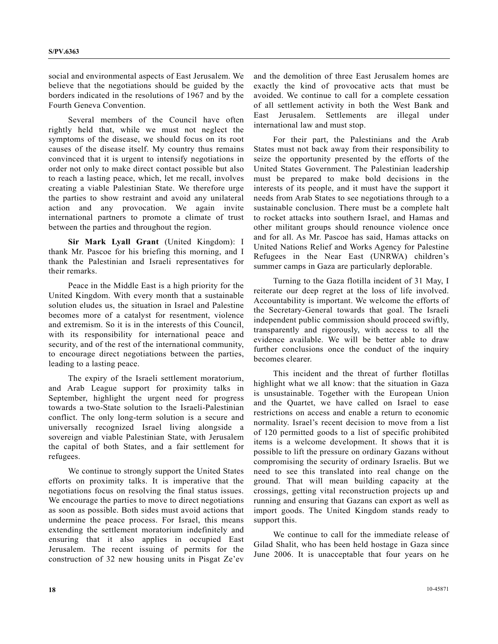social and environmental aspects of East Jerusalem. We believe that the negotiations should be guided by the borders indicated in the resolutions of 1967 and by the Fourth Geneva Convention.

 Several members of the Council have often rightly held that, while we must not neglect the symptoms of the disease, we should focus on its root causes of the disease itself. My country thus remains convinced that it is urgent to intensify negotiations in order not only to make direct contact possible but also to reach a lasting peace, which, let me recall, involves creating a viable Palestinian State. We therefore urge the parties to show restraint and avoid any unilateral action and any provocation. We again invite international partners to promote a climate of trust between the parties and throughout the region.

**Sir Mark Lyall Grant** (United Kingdom): I thank Mr. Pascoe for his briefing this morning, and I thank the Palestinian and Israeli representatives for their remarks.

 Peace in the Middle East is a high priority for the United Kingdom. With every month that a sustainable solution eludes us, the situation in Israel and Palestine becomes more of a catalyst for resentment, violence and extremism. So it is in the interests of this Council, with its responsibility for international peace and security, and of the rest of the international community, to encourage direct negotiations between the parties, leading to a lasting peace.

 The expiry of the Israeli settlement moratorium, and Arab League support for proximity talks in September, highlight the urgent need for progress towards a two-State solution to the Israeli-Palestinian conflict. The only long-term solution is a secure and universally recognized Israel living alongside a sovereign and viable Palestinian State, with Jerusalem the capital of both States, and a fair settlement for refugees.

 We continue to strongly support the United States efforts on proximity talks. It is imperative that the negotiations focus on resolving the final status issues. We encourage the parties to move to direct negotiations as soon as possible. Both sides must avoid actions that undermine the peace process. For Israel, this means extending the settlement moratorium indefinitely and ensuring that it also applies in occupied East Jerusalem. The recent issuing of permits for the construction of 32 new housing units in Pisgat Ze'ev and the demolition of three East Jerusalem homes are exactly the kind of provocative acts that must be avoided. We continue to call for a complete cessation of all settlement activity in both the West Bank and East Jerusalem. Settlements are illegal under international law and must stop.

 For their part, the Palestinians and the Arab States must not back away from their responsibility to seize the opportunity presented by the efforts of the United States Government. The Palestinian leadership must be prepared to make bold decisions in the interests of its people, and it must have the support it needs from Arab States to see negotiations through to a sustainable conclusion. There must be a complete halt to rocket attacks into southern Israel, and Hamas and other militant groups should renounce violence once and for all. As Mr. Pascoe has said, Hamas attacks on United Nations Relief and Works Agency for Palestine Refugees in the Near East (UNRWA) children's summer camps in Gaza are particularly deplorable.

 Turning to the Gaza flotilla incident of 31 May, I reiterate our deep regret at the loss of life involved. Accountability is important. We welcome the efforts of the Secretary-General towards that goal. The Israeli independent public commission should proceed swiftly, transparently and rigorously, with access to all the evidence available. We will be better able to draw further conclusions once the conduct of the inquiry becomes clearer.

 This incident and the threat of further flotillas highlight what we all know: that the situation in Gaza is unsustainable. Together with the European Union and the Quartet, we have called on Israel to ease restrictions on access and enable a return to economic normality. Israel's recent decision to move from a list of 120 permitted goods to a list of specific prohibited items is a welcome development. It shows that it is possible to lift the pressure on ordinary Gazans without compromising the security of ordinary Israelis. But we need to see this translated into real change on the ground. That will mean building capacity at the crossings, getting vital reconstruction projects up and running and ensuring that Gazans can export as well as import goods. The United Kingdom stands ready to support this.

 We continue to call for the immediate release of Gilad Shalit, who has been held hostage in Gaza since June 2006. It is unacceptable that four years on he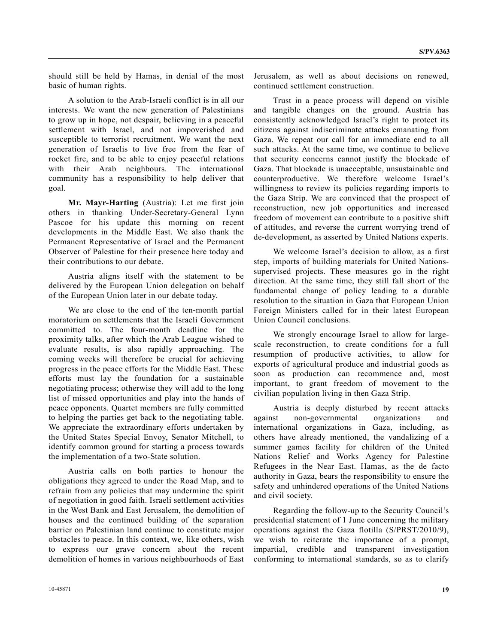should still be held by Hamas, in denial of the most basic of human rights.

 A solution to the Arab-Israeli conflict is in all our interests. We want the new generation of Palestinians to grow up in hope, not despair, believing in a peaceful settlement with Israel, and not impoverished and susceptible to terrorist recruitment. We want the next generation of Israelis to live free from the fear of rocket fire, and to be able to enjoy peaceful relations with their Arab neighbours. The international community has a responsibility to help deliver that goal.

**Mr. Mayr-Harting** (Austria): Let me first join others in thanking Under-Secretary-General Lynn Pascoe for his update this morning on recent developments in the Middle East. We also thank the Permanent Representative of Israel and the Permanent Observer of Palestine for their presence here today and their contributions to our debate.

 Austria aligns itself with the statement to be delivered by the European Union delegation on behalf of the European Union later in our debate today.

 We are close to the end of the ten-month partial moratorium on settlements that the Israeli Government committed to. The four-month deadline for the proximity talks, after which the Arab League wished to evaluate results, is also rapidly approaching. The coming weeks will therefore be crucial for achieving progress in the peace efforts for the Middle East. These efforts must lay the foundation for a sustainable negotiating process; otherwise they will add to the long list of missed opportunities and play into the hands of peace opponents. Quartet members are fully committed to helping the parties get back to the negotiating table. We appreciate the extraordinary efforts undertaken by the United States Special Envoy, Senator Mitchell, to identify common ground for starting a process towards the implementation of a two-State solution.

 Austria calls on both parties to honour the obligations they agreed to under the Road Map, and to refrain from any policies that may undermine the spirit of negotiation in good faith. Israeli settlement activities in the West Bank and East Jerusalem, the demolition of houses and the continued building of the separation barrier on Palestinian land continue to constitute major obstacles to peace. In this context, we, like others, wish to express our grave concern about the recent demolition of homes in various neighbourhoods of East

Jerusalem, as well as about decisions on renewed, continued settlement construction.

 Trust in a peace process will depend on visible and tangible changes on the ground. Austria has consistently acknowledged Israel's right to protect its citizens against indiscriminate attacks emanating from Gaza. We repeat our call for an immediate end to all such attacks. At the same time, we continue to believe that security concerns cannot justify the blockade of Gaza. That blockade is unacceptable, unsustainable and counterproductive. We therefore welcome Israel's willingness to review its policies regarding imports to the Gaza Strip. We are convinced that the prospect of reconstruction, new job opportunities and increased freedom of movement can contribute to a positive shift of attitudes, and reverse the current worrying trend of de-development, as asserted by United Nations experts.

 We welcome Israel's decision to allow, as a first step, imports of building materials for United Nationssupervised projects. These measures go in the right direction. At the same time, they still fall short of the fundamental change of policy leading to a durable resolution to the situation in Gaza that European Union Foreign Ministers called for in their latest European Union Council conclusions.

 We strongly encourage Israel to allow for largescale reconstruction, to create conditions for a full resumption of productive activities, to allow for exports of agricultural produce and industrial goods as soon as production can recommence and, most important, to grant freedom of movement to the civilian population living in then Gaza Strip.

 Austria is deeply disturbed by recent attacks against non-governmental organizations and international organizations in Gaza, including, as others have already mentioned, the vandalizing of a summer games facility for children of the United Nations Relief and Works Agency for Palestine Refugees in the Near East. Hamas, as the de facto authority in Gaza, bears the responsibility to ensure the safety and unhindered operations of the United Nations and civil society.

 Regarding the follow-up to the Security Council's presidential statement of 1 June concerning the military operations against the Gaza flotilla (S/PRST/2010/9), we wish to reiterate the importance of a prompt, impartial, credible and transparent investigation conforming to international standards, so as to clarify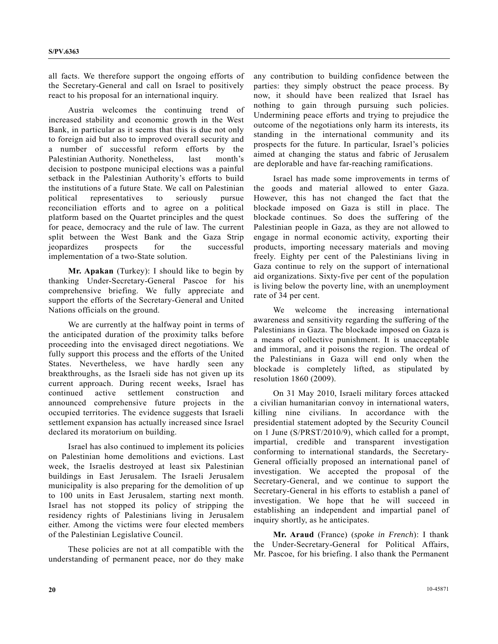all facts. We therefore support the ongoing efforts of the Secretary-General and call on Israel to positively react to his proposal for an international inquiry.

 Austria welcomes the continuing trend of increased stability and economic growth in the West Bank, in particular as it seems that this is due not only to foreign aid but also to improved overall security and a number of successful reform efforts by the Palestinian Authority. Nonetheless, last month's decision to postpone municipal elections was a painful setback in the Palestinian Authority's efforts to build the institutions of a future State. We call on Palestinian political representatives to seriously pursue reconciliation efforts and to agree on a political platform based on the Quartet principles and the quest for peace, democracy and the rule of law. The current split between the West Bank and the Gaza Strip jeopardizes prospects for the successful implementation of a two-State solution.

**Mr. Apakan** (Turkey): I should like to begin by thanking Under-Secretary-General Pascoe for his comprehensive briefing. We fully appreciate and support the efforts of the Secretary-General and United Nations officials on the ground.

 We are currently at the halfway point in terms of the anticipated duration of the proximity talks before proceeding into the envisaged direct negotiations. We fully support this process and the efforts of the United States. Nevertheless, we have hardly seen any breakthroughs, as the Israeli side has not given up its current approach. During recent weeks, Israel has continued active settlement construction and announced comprehensive future projects in the occupied territories. The evidence suggests that Israeli settlement expansion has actually increased since Israel declared its moratorium on building.

 Israel has also continued to implement its policies on Palestinian home demolitions and evictions. Last week, the Israelis destroyed at least six Palestinian buildings in East Jerusalem. The Israeli Jerusalem municipality is also preparing for the demolition of up to 100 units in East Jerusalem, starting next month. Israel has not stopped its policy of stripping the residency rights of Palestinians living in Jerusalem either. Among the victims were four elected members of the Palestinian Legislative Council.

 These policies are not at all compatible with the understanding of permanent peace, nor do they make any contribution to building confidence between the parties: they simply obstruct the peace process. By now, it should have been realized that Israel has nothing to gain through pursuing such policies. Undermining peace efforts and trying to prejudice the outcome of the negotiations only harm its interests, its standing in the international community and its prospects for the future. In particular, Israel's policies aimed at changing the status and fabric of Jerusalem are deplorable and have far-reaching ramifications.

 Israel has made some improvements in terms of the goods and material allowed to enter Gaza. However, this has not changed the fact that the blockade imposed on Gaza is still in place. The blockade continues. So does the suffering of the Palestinian people in Gaza, as they are not allowed to engage in normal economic activity, exporting their products, importing necessary materials and moving freely. Eighty per cent of the Palestinians living in Gaza continue to rely on the support of international aid organizations. Sixty-five per cent of the population is living below the poverty line, with an unemployment rate of 34 per cent.

 We welcome the increasing international awareness and sensitivity regarding the suffering of the Palestinians in Gaza. The blockade imposed on Gaza is a means of collective punishment. It is unacceptable and immoral, and it poisons the region. The ordeal of the Palestinians in Gaza will end only when the blockade is completely lifted, as stipulated by resolution 1860 (2009).

 On 31 May 2010, Israeli military forces attacked a civilian humanitarian convoy in international waters, killing nine civilians. In accordance with the presidential statement adopted by the Security Council on 1 June (S/PRST/2010/9), which called for a prompt, impartial, credible and transparent investigation conforming to international standards, the Secretary-General officially proposed an international panel of investigation. We accepted the proposal of the Secretary-General, and we continue to support the Secretary-General in his efforts to establish a panel of investigation. We hope that he will succeed in establishing an independent and impartial panel of inquiry shortly, as he anticipates.

**Mr. Araud** (France) (*spoke in French*): I thank the Under-Secretary-General for Political Affairs, Mr. Pascoe, for his briefing. I also thank the Permanent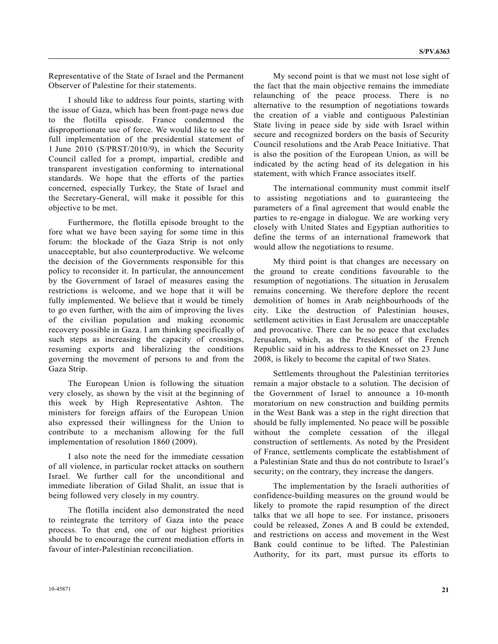Representative of the State of Israel and the Permanent Observer of Palestine for their statements.

 I should like to address four points, starting with the issue of Gaza, which has been front-page news due to the flotilla episode. France condemned the disproportionate use of force. We would like to see the full implementation of the presidential statement of 1 June 2010 (S/PRST/2010/9), in which the Security Council called for a prompt, impartial, credible and transparent investigation conforming to international standards. We hope that the efforts of the parties concerned, especially Turkey, the State of Israel and the Secretary-General, will make it possible for this objective to be met.

 Furthermore, the flotilla episode brought to the fore what we have been saying for some time in this forum: the blockade of the Gaza Strip is not only unacceptable, but also counterproductive. We welcome the decision of the Governments responsible for this policy to reconsider it. In particular, the announcement by the Government of Israel of measures easing the restrictions is welcome, and we hope that it will be fully implemented. We believe that it would be timely to go even further, with the aim of improving the lives of the civilian population and making economic recovery possible in Gaza. I am thinking specifically of such steps as increasing the capacity of crossings, resuming exports and liberalizing the conditions governing the movement of persons to and from the Gaza Strip.

 The European Union is following the situation very closely, as shown by the visit at the beginning of this week by High Representative Ashton. The ministers for foreign affairs of the European Union also expressed their willingness for the Union to contribute to a mechanism allowing for the full implementation of resolution 1860 (2009).

 I also note the need for the immediate cessation of all violence, in particular rocket attacks on southern Israel. We further call for the unconditional and immediate liberation of Gilad Shalit, an issue that is being followed very closely in my country.

 The flotilla incident also demonstrated the need to reintegrate the territory of Gaza into the peace process. To that end, one of our highest priorities should be to encourage the current mediation efforts in favour of inter-Palestinian reconciliation.

 My second point is that we must not lose sight of the fact that the main objective remains the immediate relaunching of the peace process. There is no alternative to the resumption of negotiations towards the creation of a viable and contiguous Palestinian State living in peace side by side with Israel within secure and recognized borders on the basis of Security Council resolutions and the Arab Peace Initiative. That is also the position of the European Union, as will be indicated by the acting head of its delegation in his statement, with which France associates itself.

 The international community must commit itself to assisting negotiations and to guaranteeing the parameters of a final agreement that would enable the parties to re-engage in dialogue. We are working very closely with United States and Egyptian authorities to define the terms of an international framework that would allow the negotiations to resume.

 My third point is that changes are necessary on the ground to create conditions favourable to the resumption of negotiations. The situation in Jerusalem remains concerning. We therefore deplore the recent demolition of homes in Arab neighbourhoods of the city. Like the destruction of Palestinian houses, settlement activities in East Jerusalem are unacceptable and provocative. There can be no peace that excludes Jerusalem, which, as the President of the French Republic said in his address to the Knesset on 23 June 2008, is likely to become the capital of two States.

 Settlements throughout the Palestinian territories remain a major obstacle to a solution. The decision of the Government of Israel to announce a 10-month moratorium on new construction and building permits in the West Bank was a step in the right direction that should be fully implemented. No peace will be possible without the complete cessation of the illegal construction of settlements. As noted by the President of France, settlements complicate the establishment of a Palestinian State and thus do not contribute to Israel's security; on the contrary, they increase the dangers.

 The implementation by the Israeli authorities of confidence-building measures on the ground would be likely to promote the rapid resumption of the direct talks that we all hope to see. For instance, prisoners could be released, Zones A and B could be extended, and restrictions on access and movement in the West Bank could continue to be lifted. The Palestinian Authority, for its part, must pursue its efforts to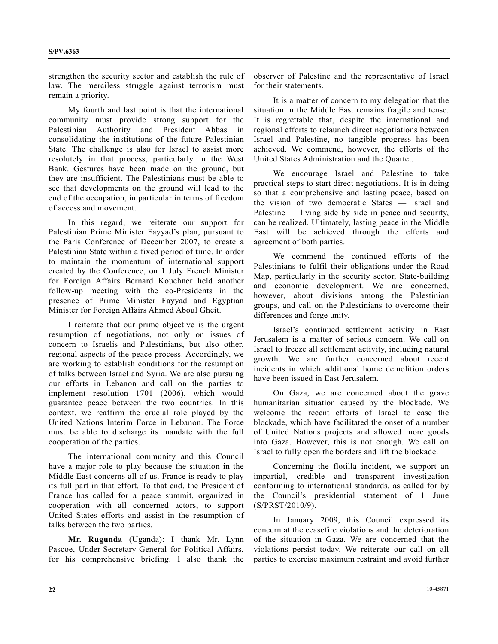strengthen the security sector and establish the rule of law. The merciless struggle against terrorism must remain a priority.

 My fourth and last point is that the international community must provide strong support for the Palestinian Authority and President Abbas in consolidating the institutions of the future Palestinian State. The challenge is also for Israel to assist more resolutely in that process, particularly in the West Bank. Gestures have been made on the ground, but they are insufficient. The Palestinians must be able to see that developments on the ground will lead to the end of the occupation, in particular in terms of freedom of access and movement.

 In this regard, we reiterate our support for Palestinian Prime Minister Fayyad's plan, pursuant to the Paris Conference of December 2007, to create a Palestinian State within a fixed period of time. In order to maintain the momentum of international support created by the Conference, on 1 July French Minister for Foreign Affairs Bernard Kouchner held another follow-up meeting with the co-Presidents in the presence of Prime Minister Fayyad and Egyptian Minister for Foreign Affairs Ahmed Aboul Gheit.

 I reiterate that our prime objective is the urgent resumption of negotiations, not only on issues of concern to Israelis and Palestinians, but also other, regional aspects of the peace process. Accordingly, we are working to establish conditions for the resumption of talks between Israel and Syria. We are also pursuing our efforts in Lebanon and call on the parties to implement resolution 1701 (2006), which would guarantee peace between the two countries. In this context, we reaffirm the crucial role played by the United Nations Interim Force in Lebanon. The Force must be able to discharge its mandate with the full cooperation of the parties.

 The international community and this Council have a major role to play because the situation in the Middle East concerns all of us. France is ready to play its full part in that effort. To that end, the President of France has called for a peace summit, organized in cooperation with all concerned actors, to support United States efforts and assist in the resumption of talks between the two parties.

**Mr. Rugunda** (Uganda): I thank Mr. Lynn Pascoe, Under-Secretary-General for Political Affairs, for his comprehensive briefing. I also thank the observer of Palestine and the representative of Israel for their statements.

 It is a matter of concern to my delegation that the situation in the Middle East remains fragile and tense. It is regrettable that, despite the international and regional efforts to relaunch direct negotiations between Israel and Palestine, no tangible progress has been achieved. We commend, however, the efforts of the United States Administration and the Quartet.

 We encourage Israel and Palestine to take practical steps to start direct negotiations. It is in doing so that a comprehensive and lasting peace, based on the vision of two democratic States — Israel and Palestine — living side by side in peace and security, can be realized. Ultimately, lasting peace in the Middle East will be achieved through the efforts and agreement of both parties.

 We commend the continued efforts of the Palestinians to fulfil their obligations under the Road Map, particularly in the security sector, State-building and economic development. We are concerned, however, about divisions among the Palestinian groups, and call on the Palestinians to overcome their differences and forge unity.

 Israel's continued settlement activity in East Jerusalem is a matter of serious concern. We call on Israel to freeze all settlement activity, including natural growth. We are further concerned about recent incidents in which additional home demolition orders have been issued in East Jerusalem.

 On Gaza, we are concerned about the grave humanitarian situation caused by the blockade. We welcome the recent efforts of Israel to ease the blockade, which have facilitated the onset of a number of United Nations projects and allowed more goods into Gaza. However, this is not enough. We call on Israel to fully open the borders and lift the blockade.

 Concerning the flotilla incident, we support an impartial, credible and transparent investigation conforming to international standards, as called for by the Council's presidential statement of 1 June (S/PRST/2010/9).

 In January 2009, this Council expressed its concern at the ceasefire violations and the deterioration of the situation in Gaza. We are concerned that the violations persist today. We reiterate our call on all parties to exercise maximum restraint and avoid further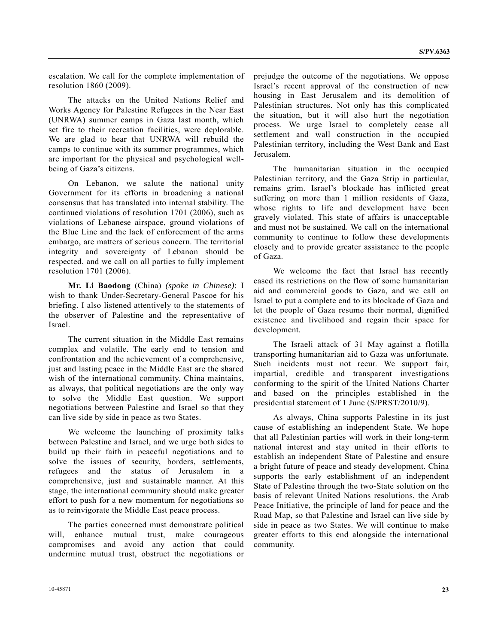escalation. We call for the complete implementation of resolution 1860 (2009).

 The attacks on the United Nations Relief and Works Agency for Palestine Refugees in the Near East (UNRWA) summer camps in Gaza last month, which set fire to their recreation facilities, were deplorable. We are glad to hear that UNRWA will rebuild the camps to continue with its summer programmes, which are important for the physical and psychological wellbeing of Gaza's citizens.

 On Lebanon, we salute the national unity Government for its efforts in broadening a national consensus that has translated into internal stability. The continued violations of resolution 1701 (2006), such as violations of Lebanese airspace, ground violations of the Blue Line and the lack of enforcement of the arms embargo, are matters of serious concern. The territorial integrity and sovereignty of Lebanon should be respected, and we call on all parties to fully implement resolution 1701 (2006).

**Mr. Li Baodong** (China) *(spoke in Chinese)*: I wish to thank Under-Secretary-General Pascoe for his briefing. I also listened attentively to the statements of the observer of Palestine and the representative of Israel.

 The current situation in the Middle East remains complex and volatile. The early end to tension and confrontation and the achievement of a comprehensive, just and lasting peace in the Middle East are the shared wish of the international community. China maintains, as always, that political negotiations are the only way to solve the Middle East question. We support negotiations between Palestine and Israel so that they can live side by side in peace as two States.

 We welcome the launching of proximity talks between Palestine and Israel, and we urge both sides to build up their faith in peaceful negotiations and to solve the issues of security, borders, settlements, refugees and the status of Jerusalem in a comprehensive, just and sustainable manner. At this stage, the international community should make greater effort to push for a new momentum for negotiations so as to reinvigorate the Middle East peace process.

 The parties concerned must demonstrate political will, enhance mutual trust, make courageous compromises and avoid any action that could undermine mutual trust, obstruct the negotiations or prejudge the outcome of the negotiations. We oppose Israel's recent approval of the construction of new housing in East Jerusalem and its demolition of Palestinian structures. Not only has this complicated the situation, but it will also hurt the negotiation process. We urge Israel to completely cease all settlement and wall construction in the occupied Palestinian territory, including the West Bank and East Jerusalem.

 The humanitarian situation in the occupied Palestinian territory, and the Gaza Strip in particular, remains grim. Israel's blockade has inflicted great suffering on more than 1 million residents of Gaza, whose rights to life and development have been gravely violated. This state of affairs is unacceptable and must not be sustained. We call on the international community to continue to follow these developments closely and to provide greater assistance to the people of Gaza.

 We welcome the fact that Israel has recently eased its restrictions on the flow of some humanitarian aid and commercial goods to Gaza, and we call on Israel to put a complete end to its blockade of Gaza and let the people of Gaza resume their normal, dignified existence and livelihood and regain their space for development.

 The Israeli attack of 31 May against a flotilla transporting humanitarian aid to Gaza was unfortunate. Such incidents must not recur. We support fair, impartial, credible and transparent investigations conforming to the spirit of the United Nations Charter and based on the principles established in the presidential statement of 1 June (S/PRST/2010/9).

 As always, China supports Palestine in its just cause of establishing an independent State. We hope that all Palestinian parties will work in their long-term national interest and stay united in their efforts to establish an independent State of Palestine and ensure a bright future of peace and steady development. China supports the early establishment of an independent State of Palestine through the two-State solution on the basis of relevant United Nations resolutions, the Arab Peace Initiative, the principle of land for peace and the Road Map, so that Palestine and Israel can live side by side in peace as two States. We will continue to make greater efforts to this end alongside the international community.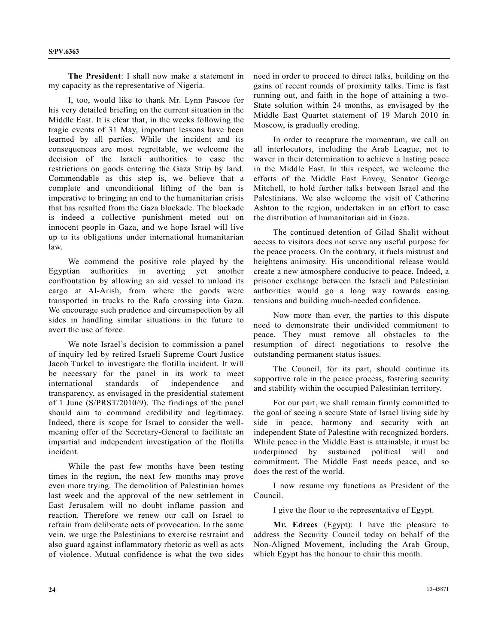**The President**: I shall now make a statement in my capacity as the representative of Nigeria.

 I, too, would like to thank Mr. Lynn Pascoe for his very detailed briefing on the current situation in the Middle East. It is clear that, in the weeks following the tragic events of 31 May, important lessons have been learned by all parties. While the incident and its consequences are most regrettable, we welcome the decision of the Israeli authorities to ease the restrictions on goods entering the Gaza Strip by land. Commendable as this step is, we believe that a complete and unconditional lifting of the ban is imperative to bringing an end to the humanitarian crisis that has resulted from the Gaza blockade. The blockade is indeed a collective punishment meted out on innocent people in Gaza, and we hope Israel will live up to its obligations under international humanitarian law.

 We commend the positive role played by the Egyptian authorities in averting yet another confrontation by allowing an aid vessel to unload its cargo at Al-Arish, from where the goods were transported in trucks to the Rafa crossing into Gaza. We encourage such prudence and circumspection by all sides in handling similar situations in the future to avert the use of force.

 We note Israel's decision to commission a panel of inquiry led by retired Israeli Supreme Court Justice Jacob Turkel to investigate the flotilla incident. It will be necessary for the panel in its work to meet international standards of independence and transparency, as envisaged in the presidential statement of 1 June (S/PRST/2010/9). The findings of the panel should aim to command credibility and legitimacy. Indeed, there is scope for Israel to consider the wellmeaning offer of the Secretary-General to facilitate an impartial and independent investigation of the flotilla incident.

 While the past few months have been testing times in the region, the next few months may prove even more trying. The demolition of Palestinian homes last week and the approval of the new settlement in East Jerusalem will no doubt inflame passion and reaction. Therefore we renew our call on Israel to refrain from deliberate acts of provocation. In the same vein, we urge the Palestinians to exercise restraint and also guard against inflammatory rhetoric as well as acts of violence. Mutual confidence is what the two sides need in order to proceed to direct talks, building on the gains of recent rounds of proximity talks. Time is fast running out, and faith in the hope of attaining a two-State solution within 24 months, as envisaged by the Middle East Quartet statement of 19 March 2010 in Moscow, is gradually eroding.

 In order to recapture the momentum, we call on all interlocutors, including the Arab League, not to waver in their determination to achieve a lasting peace in the Middle East. In this respect, we welcome the efforts of the Middle East Envoy, Senator George Mitchell, to hold further talks between Israel and the Palestinians. We also welcome the visit of Catherine Ashton to the region, undertaken in an effort to ease the distribution of humanitarian aid in Gaza.

 The continued detention of Gilad Shalit without access to visitors does not serve any useful purpose for the peace process. On the contrary, it fuels mistrust and heightens animosity. His unconditional release would create a new atmosphere conducive to peace. Indeed, a prisoner exchange between the Israeli and Palestinian authorities would go a long way towards easing tensions and building much-needed confidence.

 Now more than ever, the parties to this dispute need to demonstrate their undivided commitment to peace. They must remove all obstacles to the resumption of direct negotiations to resolve the outstanding permanent status issues.

 The Council, for its part, should continue its supportive role in the peace process, fostering security and stability within the occupied Palestinian territory.

 For our part, we shall remain firmly committed to the goal of seeing a secure State of Israel living side by side in peace, harmony and security with an independent State of Palestine with recognized borders. While peace in the Middle East is attainable, it must be underpinned by sustained political will and commitment. The Middle East needs peace, and so does the rest of the world.

I now resume my functions as President of the Council.

I give the floor to the representative of Egypt.

 **Mr. Edrees** (Egypt): I have the pleasure to address the Security Council today on behalf of the Non-Aligned Movement, including the Arab Group, which Egypt has the honour to chair this month.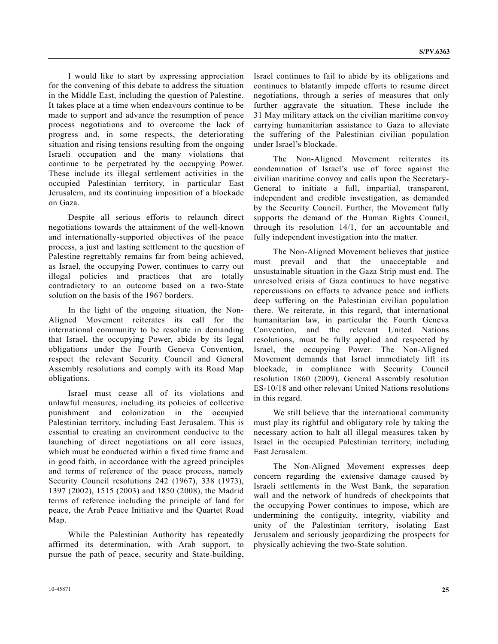I would like to start by expressing appreciation for the convening of this debate to address the situation in the Middle East, including the question of Palestine. It takes place at a time when endeavours continue to be made to support and advance the resumption of peace process negotiations and to overcome the lack of progress and, in some respects, the deteriorating situation and rising tensions resulting from the ongoing Israeli occupation and the many violations that continue to be perpetrated by the occupying Power. These include its illegal settlement activities in the occupied Palestinian territory, in particular East Jerusalem, and its continuing imposition of a blockade on Gaza.

 Despite all serious efforts to relaunch direct negotiations towards the attainment of the well-known and internationally-supported objectives of the peace process, a just and lasting settlement to the question of Palestine regrettably remains far from being achieved, as Israel, the occupying Power, continues to carry out illegal policies and practices that are totally contradictory to an outcome based on a two-State solution on the basis of the 1967 borders.

 In the light of the ongoing situation, the Non-Aligned Movement reiterates its call for the international community to be resolute in demanding that Israel, the occupying Power, abide by its legal obligations under the Fourth Geneva Convention, respect the relevant Security Council and General Assembly resolutions and comply with its Road Map obligations.

 Israel must cease all of its violations and unlawful measures, including its policies of collective punishment and colonization in the occupied Palestinian territory, including East Jerusalem. This is essential to creating an environment conducive to the launching of direct negotiations on all core issues, which must be conducted within a fixed time frame and in good faith, in accordance with the agreed principles and terms of reference of the peace process, namely Security Council resolutions 242 (1967), 338 (1973), 1397 (2002), 1515 (2003) and 1850 (2008), the Madrid terms of reference including the principle of land for peace, the Arab Peace Initiative and the Quartet Road Map.

 While the Palestinian Authority has repeatedly affirmed its determination, with Arab support, to pursue the path of peace, security and State-building, Israel continues to fail to abide by its obligations and continues to blatantly impede efforts to resume direct negotiations, through a series of measures that only further aggravate the situation. These include the 31 May military attack on the civilian maritime convoy carrying humanitarian assistance to Gaza to alleviate the suffering of the Palestinian civilian population under Israel's blockade.

 The Non-Aligned Movement reiterates its condemnation of Israel's use of force against the civilian maritime convoy and calls upon the Secretary-General to initiate a full, impartial, transparent, independent and credible investigation, as demanded by the Security Council. Further, the Movement fully supports the demand of the Human Rights Council, through its resolution 14/1, for an accountable and fully independent investigation into the matter.

 The Non-Aligned Movement believes that justice must prevail and that the unacceptable and unsustainable situation in the Gaza Strip must end. The unresolved crisis of Gaza continues to have negative repercussions on efforts to advance peace and inflicts deep suffering on the Palestinian civilian population there. We reiterate, in this regard, that international humanitarian law, in particular the Fourth Geneva Convention, and the relevant United Nations resolutions, must be fully applied and respected by Israel, the occupying Power. The Non-Aligned Movement demands that Israel immediately lift its blockade, in compliance with Security Council resolution 1860 (2009), General Assembly resolution ES-10/18 and other relevant United Nations resolutions in this regard.

 We still believe that the international community must play its rightful and obligatory role by taking the necessary action to halt all illegal measures taken by Israel in the occupied Palestinian territory, including East Jerusalem.

 The Non-Aligned Movement expresses deep concern regarding the extensive damage caused by Israeli settlements in the West Bank, the separation wall and the network of hundreds of checkpoints that the occupying Power continues to impose, which are undermining the contiguity, integrity, viability and unity of the Palestinian territory, isolating East Jerusalem and seriously jeopardizing the prospects for physically achieving the two-State solution.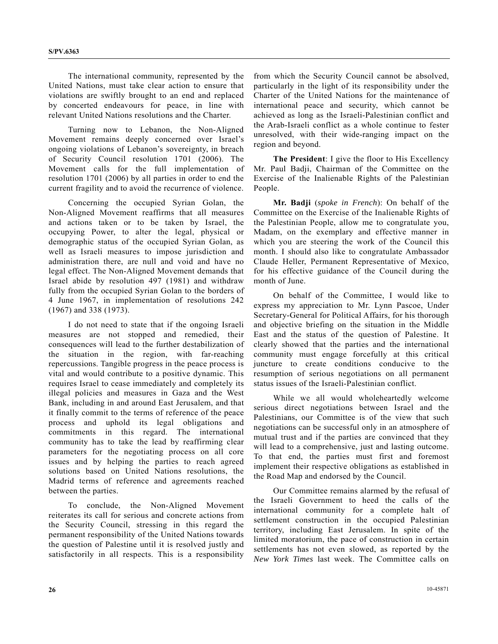The international community, represented by the United Nations, must take clear action to ensure that violations are swiftly brought to an end and replaced by concerted endeavours for peace, in line with relevant United Nations resolutions and the Charter.

 Turning now to Lebanon, the Non-Aligned Movement remains deeply concerned over Israel's ongoing violations of Lebanon's sovereignty, in breach of Security Council resolution 1701 (2006). The Movement calls for the full implementation of resolution 1701 (2006) by all parties in order to end the current fragility and to avoid the recurrence of violence.

 Concerning the occupied Syrian Golan, the Non-Aligned Movement reaffirms that all measures and actions taken or to be taken by Israel, the occupying Power, to alter the legal, physical or demographic status of the occupied Syrian Golan, as well as Israeli measures to impose jurisdiction and administration there, are null and void and have no legal effect. The Non-Aligned Movement demands that Israel abide by resolution 497 (1981) and withdraw fully from the occupied Syrian Golan to the borders of 4 June 1967, in implementation of resolutions 242 (1967) and 338 (1973).

 I do not need to state that if the ongoing Israeli measures are not stopped and remedied, their consequences will lead to the further destabilization of the situation in the region, with far-reaching repercussions. Tangible progress in the peace process is vital and would contribute to a positive dynamic. This requires Israel to cease immediately and completely its illegal policies and measures in Gaza and the West Bank, including in and around East Jerusalem, and that it finally commit to the terms of reference of the peace process and uphold its legal obligations and commitments in this regard. The international community has to take the lead by reaffirming clear parameters for the negotiating process on all core issues and by helping the parties to reach agreed solutions based on United Nations resolutions, the Madrid terms of reference and agreements reached between the parties.

 To conclude, the Non-Aligned Movement reiterates its call for serious and concrete actions from the Security Council, stressing in this regard the permanent responsibility of the United Nations towards the question of Palestine until it is resolved justly and satisfactorily in all respects. This is a responsibility

from which the Security Council cannot be absolved, particularly in the light of its responsibility under the Charter of the United Nations for the maintenance of international peace and security, which cannot be achieved as long as the Israeli-Palestinian conflict and the Arab-Israeli conflict as a whole continue to fester unresolved, with their wide-ranging impact on the region and beyond.

**The President**: I give the floor to His Excellency Mr. Paul Badji, Chairman of the Committee on the Exercise of the Inalienable Rights of the Palestinian People.

**Mr. Badji** (*spoke in French*): On behalf of the Committee on the Exercise of the Inalienable Rights of the Palestinian People, allow me to congratulate you, Madam, on the exemplary and effective manner in which you are steering the work of the Council this month. I should also like to congratulate Ambassador Claude Heller, Permanent Representative of Mexico, for his effective guidance of the Council during the month of June.

 On behalf of the Committee, I would like to express my appreciation to Mr. Lynn Pascoe, Under Secretary-General for Political Affairs, for his thorough and objective briefing on the situation in the Middle East and the status of the question of Palestine. It clearly showed that the parties and the international community must engage forcefully at this critical juncture to create conditions conducive to the resumption of serious negotiations on all permanent status issues of the Israeli-Palestinian conflict.

 While we all would wholeheartedly welcome serious direct negotiations between Israel and the Palestinians, our Committee is of the view that such negotiations can be successful only in an atmosphere of mutual trust and if the parties are convinced that they will lead to a comprehensive, just and lasting outcome. To that end, the parties must first and foremost implement their respective obligations as established in the Road Map and endorsed by the Council.

 Our Committee remains alarmed by the refusal of the Israeli Government to heed the calls of the international community for a complete halt of settlement construction in the occupied Palestinian territory, including East Jerusalem. In spite of the limited moratorium, the pace of construction in certain settlements has not even slowed, as reported by the *New York Times* last week. The Committee calls on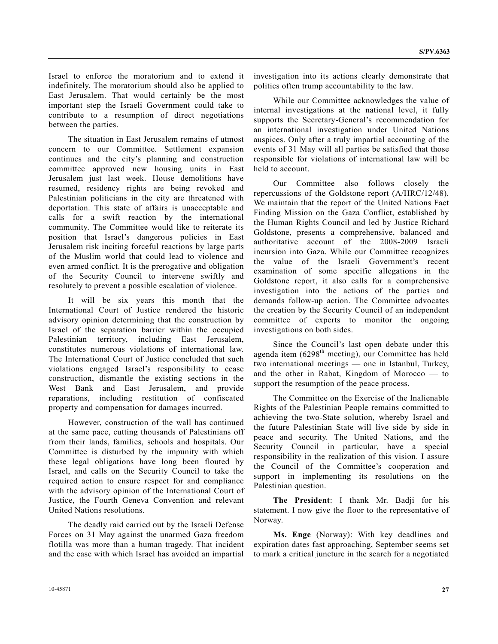Israel to enforce the moratorium and to extend it indefinitely. The moratorium should also be applied to East Jerusalem. That would certainly be the most important step the Israeli Government could take to contribute to a resumption of direct negotiations between the parties.

 The situation in East Jerusalem remains of utmost concern to our Committee. Settlement expansion continues and the city's planning and construction committee approved new housing units in East Jerusalem just last week. House demolitions have resumed, residency rights are being revoked and Palestinian politicians in the city are threatened with deportation. This state of affairs is unacceptable and calls for a swift reaction by the international community. The Committee would like to reiterate its position that Israel's dangerous policies in East Jerusalem risk inciting forceful reactions by large parts of the Muslim world that could lead to violence and even armed conflict. It is the prerogative and obligation of the Security Council to intervene swiftly and resolutely to prevent a possible escalation of violence.

 It will be six years this month that the International Court of Justice rendered the historic advisory opinion determining that the construction by Israel of the separation barrier within the occupied Palestinian territory, including East Jerusalem, constitutes numerous violations of international law. The International Court of Justice concluded that such violations engaged Israel's responsibility to cease construction, dismantle the existing sections in the West Bank and East Jerusalem, and provide reparations, including restitution of confiscated property and compensation for damages incurred.

 However, construction of the wall has continued at the same pace, cutting thousands of Palestinians off from their lands, families, schools and hospitals. Our Committee is disturbed by the impunity with which these legal obligations have long been flouted by Israel, and calls on the Security Council to take the required action to ensure respect for and compliance with the advisory opinion of the International Court of Justice, the Fourth Geneva Convention and relevant United Nations resolutions.

 The deadly raid carried out by the Israeli Defense Forces on 31 May against the unarmed Gaza freedom flotilla was more than a human tragedy. That incident and the ease with which Israel has avoided an impartial investigation into its actions clearly demonstrate that politics often trump accountability to the law.

 While our Committee acknowledges the value of internal investigations at the national level, it fully supports the Secretary-General's recommendation for an international investigation under United Nations auspices. Only after a truly impartial accounting of the events of 31 May will all parties be satisfied that those responsible for violations of international law will be held to account.

 Our Committee also follows closely the repercussions of the Goldstone report (A/HRC/12/48). We maintain that the report of the United Nations Fact Finding Mission on the Gaza Conflict, established by the Human Rights Council and led by Justice Richard Goldstone, presents a comprehensive, balanced and authoritative account of the 2008-2009 Israeli incursion into Gaza. While our Committee recognizes the value of the Israeli Government's recent examination of some specific allegations in the Goldstone report, it also calls for a comprehensive investigation into the actions of the parties and demands follow-up action. The Committee advocates the creation by the Security Council of an independent committee of experts to monitor the ongoing investigations on both sides.

 Since the Council's last open debate under this agenda item (6298<sup>th</sup> meeting), our Committee has held two international meetings — one in Istanbul, Turkey, and the other in Rabat, Kingdom of Morocco — to support the resumption of the peace process.

 The Committee on the Exercise of the Inalienable Rights of the Palestinian People remains committed to achieving the two-State solution, whereby Israel and the future Palestinian State will live side by side in peace and security. The United Nations, and the Security Council in particular, have a special responsibility in the realization of this vision. I assure the Council of the Committee's cooperation and support in implementing its resolutions on the Palestinian question.

**The President**: I thank Mr. Badji for his statement. I now give the floor to the representative of Norway.

**Ms. Enge** (Norway): With key deadlines and expiration dates fast approaching, September seems set to mark a critical juncture in the search for a negotiated